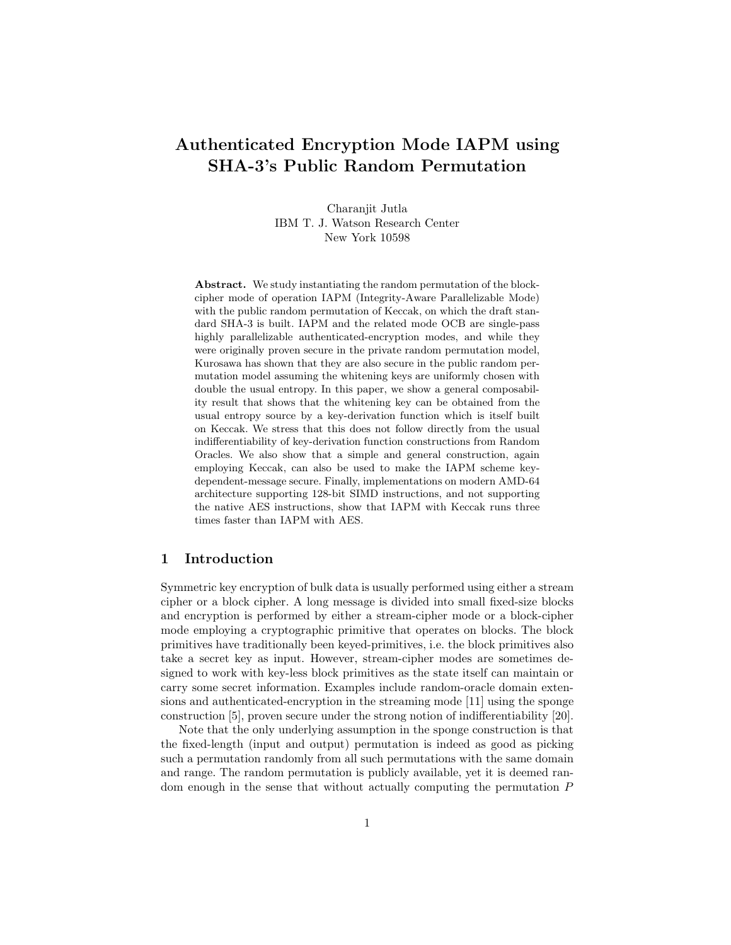# Authenticated Encryption Mode IAPM using SHA-3's Public Random Permutation

Charanjit Jutla IBM T. J. Watson Research Center New York 10598

Abstract. We study instantiating the random permutation of the blockcipher mode of operation IAPM (Integrity-Aware Parallelizable Mode) with the public random permutation of Keccak, on which the draft standard SHA-3 is built. IAPM and the related mode OCB are single-pass highly parallelizable authenticated-encryption modes, and while they were originally proven secure in the private random permutation model, Kurosawa has shown that they are also secure in the public random permutation model assuming the whitening keys are uniformly chosen with double the usual entropy. In this paper, we show a general composability result that shows that the whitening key can be obtained from the usual entropy source by a key-derivation function which is itself built on Keccak. We stress that this does not follow directly from the usual indifferentiability of key-derivation function constructions from Random Oracles. We also show that a simple and general construction, again employing Keccak, can also be used to make the IAPM scheme keydependent-message secure. Finally, implementations on modern AMD-64 architecture supporting 128-bit SIMD instructions, and not supporting the native AES instructions, show that IAPM with Keccak runs three times faster than IAPM with AES.

## 1 Introduction

Symmetric key encryption of bulk data is usually performed using either a stream cipher or a block cipher. A long message is divided into small fixed-size blocks and encryption is performed by either a stream-cipher mode or a block-cipher mode employing a cryptographic primitive that operates on blocks. The block primitives have traditionally been keyed-primitives, i.e. the block primitives also take a secret key as input. However, stream-cipher modes are sometimes designed to work with key-less block primitives as the state itself can maintain or carry some secret information. Examples include random-oracle domain extensions and authenticated-encryption in the streaming mode [11] using the sponge construction [5], proven secure under the strong notion of indifferentiability [20].

Note that the only underlying assumption in the sponge construction is that the fixed-length (input and output) permutation is indeed as good as picking such a permutation randomly from all such permutations with the same domain and range. The random permutation is publicly available, yet it is deemed random enough in the sense that without actually computing the permutation P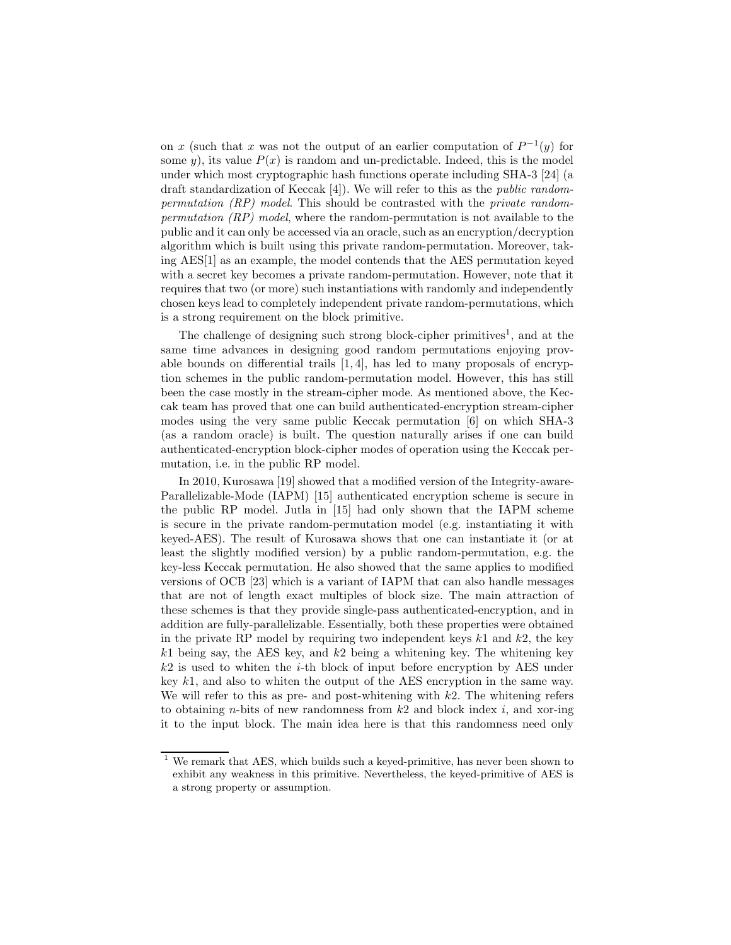on x (such that x was not the output of an earlier computation of  $P^{-1}(y)$  for some y), its value  $P(x)$  is random and un-predictable. Indeed, this is the model under which most cryptographic hash functions operate including SHA-3 [24] (a draft standardization of Keccak [4]). We will refer to this as the public randompermutation (RP) model. This should be contrasted with the private randompermutation (RP) model, where the random-permutation is not available to the public and it can only be accessed via an oracle, such as an encryption/decryption algorithm which is built using this private random-permutation. Moreover, taking AES[1] as an example, the model contends that the AES permutation keyed with a secret key becomes a private random-permutation. However, note that it requires that two (or more) such instantiations with randomly and independently chosen keys lead to completely independent private random-permutations, which is a strong requirement on the block primitive.

The challenge of designing such strong block-cipher primitives<sup>1</sup>, and at the same time advances in designing good random permutations enjoying provable bounds on differential trails  $[1, 4]$ , has led to many proposals of encryption schemes in the public random-permutation model. However, this has still been the case mostly in the stream-cipher mode. As mentioned above, the Keccak team has proved that one can build authenticated-encryption stream-cipher modes using the very same public Keccak permutation [6] on which SHA-3 (as a random oracle) is built. The question naturally arises if one can build authenticated-encryption block-cipher modes of operation using the Keccak permutation, i.e. in the public RP model.

In 2010, Kurosawa [19] showed that a modified version of the Integrity-aware-Parallelizable-Mode (IAPM) [15] authenticated encryption scheme is secure in the public RP model. Jutla in [15] had only shown that the IAPM scheme is secure in the private random-permutation model (e.g. instantiating it with keyed-AES). The result of Kurosawa shows that one can instantiate it (or at least the slightly modified version) by a public random-permutation, e.g. the key-less Keccak permutation. He also showed that the same applies to modified versions of OCB [23] which is a variant of IAPM that can also handle messages that are not of length exact multiples of block size. The main attraction of these schemes is that they provide single-pass authenticated-encryption, and in addition are fully-parallelizable. Essentially, both these properties were obtained in the private RP model by requiring two independent keys  $k1$  and  $k2$ , the key  $k1$  being say, the AES key, and  $k2$  being a whitening key. The whitening key  $k2$  is used to whiten the *i*-th block of input before encryption by AES under key k1, and also to whiten the output of the AES encryption in the same way. We will refer to this as pre- and post-whitening with  $k2$ . The whitening refers to obtaining *n*-bits of new randomness from  $k2$  and block index i, and xor-ing it to the input block. The main idea here is that this randomness need only

 $^{\rm 1}$  We remark that AES, which builds such a keyed-primitive, has never been shown to exhibit any weakness in this primitive. Nevertheless, the keyed-primitive of AES is a strong property or assumption.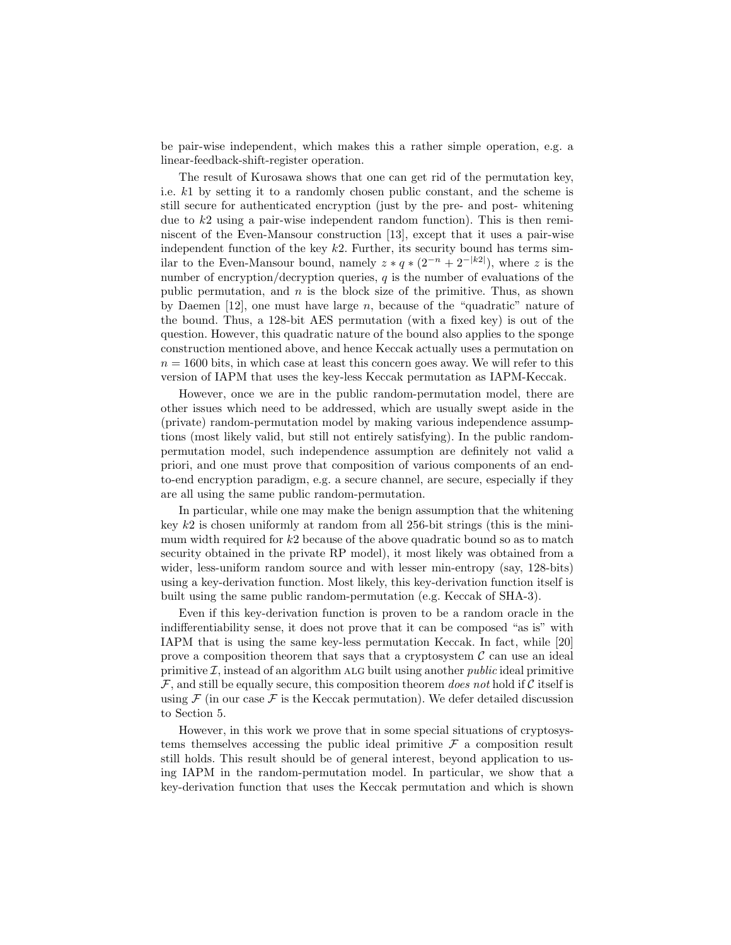be pair-wise independent, which makes this a rather simple operation, e.g. a linear-feedback-shift-register operation.

The result of Kurosawa shows that one can get rid of the permutation key, i.e. k1 by setting it to a randomly chosen public constant, and the scheme is still secure for authenticated encryption (just by the pre- and post- whitening due to  $k2$  using a pair-wise independent random function). This is then reminiscent of the Even-Mansour construction [13], except that it uses a pair-wise independent function of the key  $k2$ . Further, its security bound has terms similar to the Even-Mansour bound, namely  $z * q * (2^{-n} + 2^{-|k_2|})$ , where z is the number of encryption/decryption queries,  $q$  is the number of evaluations of the public permutation, and  $n$  is the block size of the primitive. Thus, as shown by Daemen [12], one must have large n, because of the "quadratic" nature of the bound. Thus, a 128-bit AES permutation (with a fixed key) is out of the question. However, this quadratic nature of the bound also applies to the sponge construction mentioned above, and hence Keccak actually uses a permutation on  $n = 1600$  bits, in which case at least this concern goes away. We will refer to this version of IAPM that uses the key-less Keccak permutation as IAPM-Keccak.

However, once we are in the public random-permutation model, there are other issues which need to be addressed, which are usually swept aside in the (private) random-permutation model by making various independence assumptions (most likely valid, but still not entirely satisfying). In the public randompermutation model, such independence assumption are definitely not valid a priori, and one must prove that composition of various components of an endto-end encryption paradigm, e.g. a secure channel, are secure, especially if they are all using the same public random-permutation.

In particular, while one may make the benign assumption that the whitening key  $k2$  is chosen uniformly at random from all 256-bit strings (this is the minimum width required for k2 because of the above quadratic bound so as to match security obtained in the private RP model), it most likely was obtained from a wider, less-uniform random source and with lesser min-entropy (say, 128-bits) using a key-derivation function. Most likely, this key-derivation function itself is built using the same public random-permutation (e.g. Keccak of SHA-3).

Even if this key-derivation function is proven to be a random oracle in the indifferentiability sense, it does not prove that it can be composed "as is" with IAPM that is using the same key-less permutation Keccak. In fact, while [20] prove a composition theorem that says that a cryptosystem  $C$  can use an ideal primitive  $\mathcal{I}$ , instead of an algorithm ALG built using another *public* ideal primitive  $\mathcal{F}$ , and still be equally secure, this composition theorem *does not* hold if  $\mathcal{C}$  itself is using  $\mathcal F$  (in our case  $\mathcal F$  is the Keccak permutation). We defer detailed discussion to Section 5.

However, in this work we prove that in some special situations of cryptosystems themselves accessing the public ideal primitive  $\mathcal F$  a composition result still holds. This result should be of general interest, beyond application to using IAPM in the random-permutation model. In particular, we show that a key-derivation function that uses the Keccak permutation and which is shown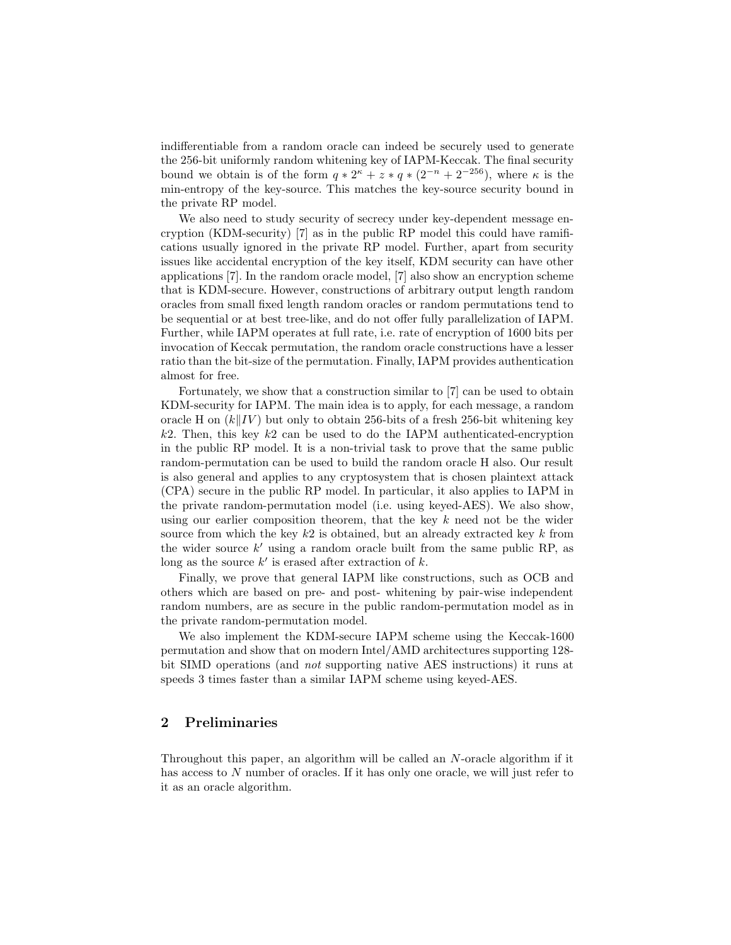indifferentiable from a random oracle can indeed be securely used to generate the 256-bit uniformly random whitening key of IAPM-Keccak. The final security bound we obtain is of the form  $q * 2^{\kappa} + z * q * (2^{-n} + 2^{-256})$ , where  $\kappa$  is the min-entropy of the key-source. This matches the key-source security bound in the private RP model.

We also need to study security of secrecy under key-dependent message encryption (KDM-security) [7] as in the public RP model this could have ramifications usually ignored in the private RP model. Further, apart from security issues like accidental encryption of the key itself, KDM security can have other applications [7]. In the random oracle model, [7] also show an encryption scheme that is KDM-secure. However, constructions of arbitrary output length random oracles from small fixed length random oracles or random permutations tend to be sequential or at best tree-like, and do not offer fully parallelization of IAPM. Further, while IAPM operates at full rate, i.e. rate of encryption of 1600 bits per invocation of Keccak permutation, the random oracle constructions have a lesser ratio than the bit-size of the permutation. Finally, IAPM provides authentication almost for free.

Fortunately, we show that a construction similar to [7] can be used to obtain KDM-security for IAPM. The main idea is to apply, for each message, a random oracle H on  $(k||IV)$  but only to obtain 256-bits of a fresh 256-bit whitening key  $k2$ . Then, this key  $k2$  can be used to do the IAPM authenticated-encryption in the public RP model. It is a non-trivial task to prove that the same public random-permutation can be used to build the random oracle H also. Our result is also general and applies to any cryptosystem that is chosen plaintext attack (CPA) secure in the public RP model. In particular, it also applies to IAPM in the private random-permutation model (i.e. using keyed-AES). We also show, using our earlier composition theorem, that the key  $k$  need not be the wider source from which the key  $k2$  is obtained, but an already extracted key k from the wider source  $k'$  using a random oracle built from the same public RP, as long as the source  $k'$  is erased after extraction of  $k$ .

Finally, we prove that general IAPM like constructions, such as OCB and others which are based on pre- and post- whitening by pair-wise independent random numbers, are as secure in the public random-permutation model as in the private random-permutation model.

We also implement the KDM-secure IAPM scheme using the Keccak-1600 permutation and show that on modern Intel/AMD architectures supporting 128 bit SIMD operations (and not supporting native AES instructions) it runs at speeds 3 times faster than a similar IAPM scheme using keyed-AES.

## 2 Preliminaries

Throughout this paper, an algorithm will be called an N-oracle algorithm if it has access to N number of oracles. If it has only one oracle, we will just refer to it as an oracle algorithm.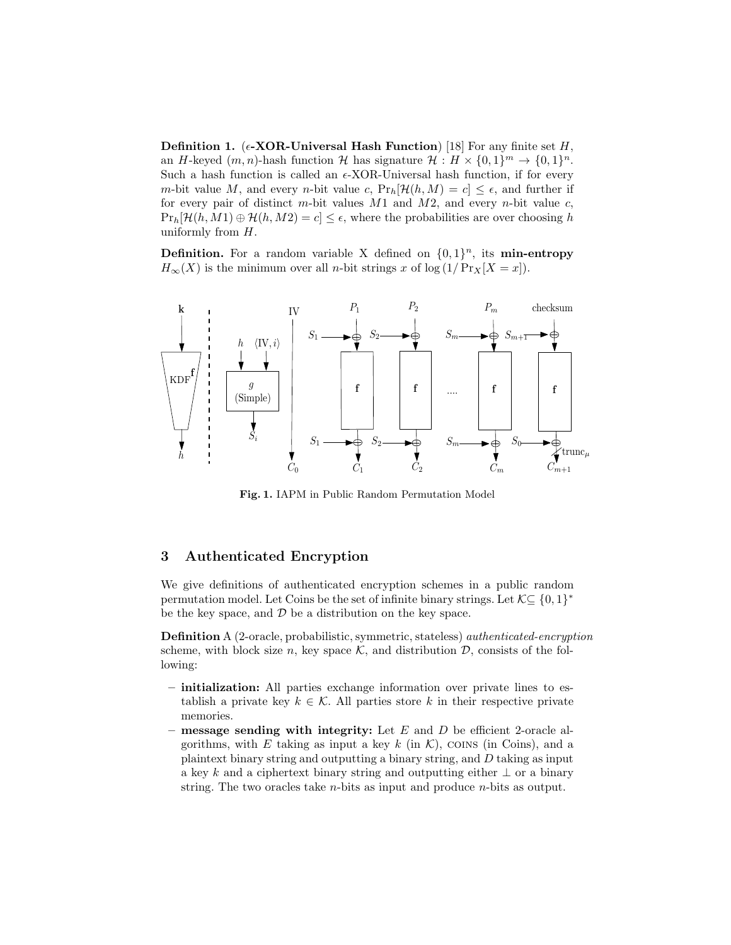**Definition 1.** ( $\epsilon$ -XOR-Universal Hash Function) [18] For any finite set H, an H-keyed  $(m, n)$ -hash function H has signature  $\mathcal{H}: H \times \{0, 1\}^m \to \{0, 1\}^n$ . Such a hash function is called an  $\epsilon$ -XOR-Universal hash function, if for every m-bit value M, and every n-bit value c,  $Pr_h[\mathcal{H}(h, M) = c] \leq \epsilon$ , and further if for every pair of distinct m-bit values  $M1$  and  $M2$ , and every n-bit value c,  $Pr_h[\mathcal{H}(h, M1) \oplus \mathcal{H}(h, M2) = c] \leq \epsilon$ , where the probabilities are over choosing h uniformly from H.

**Definition.** For a random variable X defined on  $\{0,1\}^n$ , its **min-entropy**  $H_{\infty}(X)$  is the minimum over all *n*-bit strings x of log  $(1/\Pr_X[X = x])$ .



Fig. 1. IAPM in Public Random Permutation Model

## 3 Authenticated Encryption

We give definitions of authenticated encryption schemes in a public random permutation model. Let Coins be the set of infinite binary strings. Let  $\mathcal{K} \subseteq \{0,1\}^*$ be the key space, and  $\mathcal D$  be a distribution on the key space.

Definition A (2-oracle, probabilistic, symmetric, stateless) authenticated-encryption scheme, with block size n, key space  $\mathcal{K}$ , and distribution  $\mathcal{D}$ , consists of the following:

- initialization: All parties exchange information over private lines to establish a private key  $k \in \mathcal{K}$ . All parties store k in their respective private memories.
- message sending with integrity: Let  $E$  and  $D$  be efficient 2-oracle algorithms, with E taking as input a key  $k$  (in  $\mathcal{K}$ ), coins (in Coins), and a plaintext binary string and outputting a binary string, and D taking as input a key k and a ciphertext binary string and outputting either  $\perp$  or a binary string. The two oracles take n-bits as input and produce n-bits as output.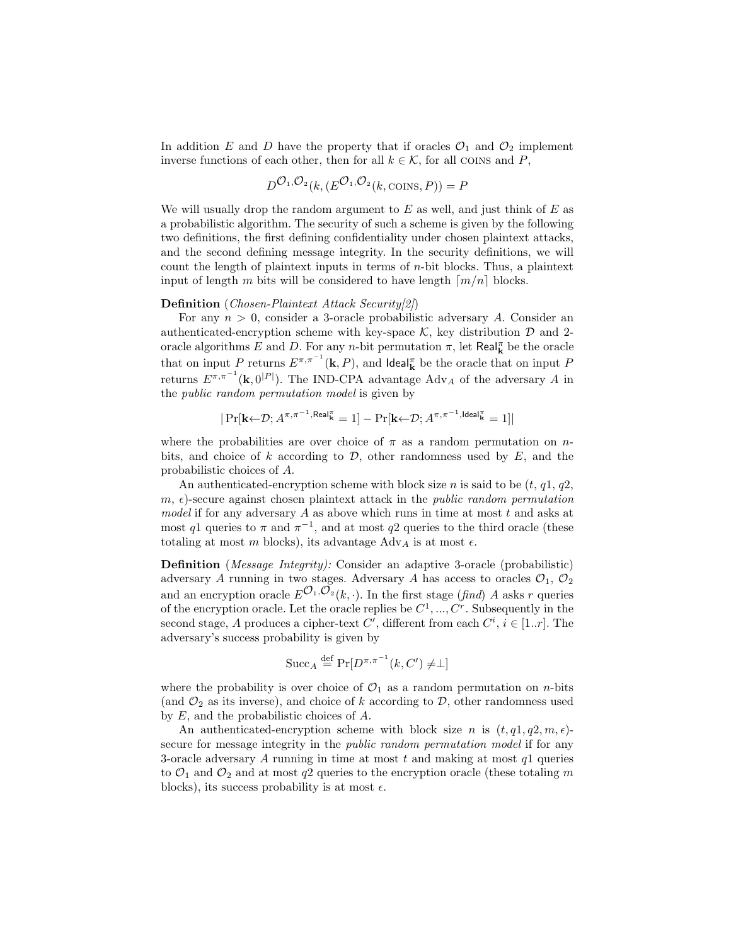In addition E and D have the property that if oracles  $\mathcal{O}_1$  and  $\mathcal{O}_2$  implement inverse functions of each other, then for all  $k \in \mathcal{K}$ , for all COINS and P,

$$
D^{\mathcal{O}_1,\mathcal{O}_2}(k,(E^{\mathcal{O}_1,\mathcal{O}_2}(k,\mathrm{cons},P))=P
$$

We will usually drop the random argument to  $E$  as well, and just think of  $E$  as a probabilistic algorithm. The security of such a scheme is given by the following two definitions, the first defining confidentiality under chosen plaintext attacks, and the second defining message integrity. In the security definitions, we will count the length of plaintext inputs in terms of  $n$ -bit blocks. Thus, a plaintext input of length m bits will be considered to have length  $\lceil m/n \rceil$  blocks.

#### Definition (Chosen-Plaintext Attack Security[2])

For any  $n > 0$ , consider a 3-oracle probabilistic adversary A. Consider an authenticated-encryption scheme with key-space  $\mathcal{K}$ , key distribution  $\mathcal{D}$  and 2oracle algorithms E and D. For any n-bit permutation  $\pi$ , let Real<sub>k</sub> be the oracle that on input P returns  $E^{\pi,\pi^{-1}}(\mathbf{k},P)$ , and Ideal<sub> $\mathbf{k}$ </sub> be the oracle that on input P returns  $E^{\pi,\pi^{-1}}(\mathbf{k},0^{|P|})$ . The IND-CPA advantage Adv<sub>A</sub> of the adversary A in the public random permutation model is given by

$$
|\Pr[\mathbf{k} \leftarrow \mathcal{D}; A^{\pi,\pi^{-1},\mathsf{Real}^{\pi}_{\mathbf{k}}}=1] - \Pr[\mathbf{k} \leftarrow \mathcal{D}; A^{\pi,\pi^{-1},\mathsf{Ideal}^{\pi}_{\mathbf{k}}}=1]|
$$

where the probabilities are over choice of  $\pi$  as a random permutation on nbits, and choice of k according to  $\mathcal{D}$ , other randomness used by E, and the probabilistic choices of A.

An authenticated-encryption scheme with block size n is said to be  $(t, q1, q2)$ ,  $m, \epsilon$ )-secure against chosen plaintext attack in the *public random permutation* model if for any adversary  $A$  as above which runs in time at most  $t$  and asks at most q1 queries to  $\pi$  and  $\pi^{-1}$ , and at most q2 queries to the third oracle (these totaling at most m blocks), its advantage  $\text{Adv}_A$  is at most  $\epsilon$ .

Definition (Message Integrity): Consider an adaptive 3-oracle (probabilistic) adversary A running in two stages. Adversary A has access to oracles  $\mathcal{O}_1$ ,  $\mathcal{O}_2$ and an encryption oracle  $E^{\mathcal{O}_1,\mathcal{O}_2}(k, \cdot)$ . In the first stage (find) A asks r queries of the encryption oracle. Let the oracle replies be  $C^1, ..., C^r$ . Subsequently in the second stage, A produces a cipher-text C', different from each  $C^i$ ,  $i \in [1..r]$ . The adversary's success probability is given by

$$
\operatorname{Succ}_A \stackrel{\text{def}}{=} \Pr[D^{\pi, \pi^{-1}}(k, C') \neq \perp]
$$

where the probability is over choice of  $\mathcal{O}_1$  as a random permutation on *n*-bits (and  $\mathcal{O}_2$  as its inverse), and choice of k according to  $\mathcal{D}$ , other randomness used by  $E$ , and the probabilistic choices of  $A$ .

An authenticated-encryption scheme with block size n is  $(t, q1, q2, m, \epsilon)$ secure for message integrity in the *public random permutation model* if for any 3-oracle adversary A running in time at most t and making at most  $q_1$  queries to  $\mathcal{O}_1$  and  $\mathcal{O}_2$  and at most  $q2$  queries to the encryption oracle (these totaling m blocks), its success probability is at most  $\epsilon$ .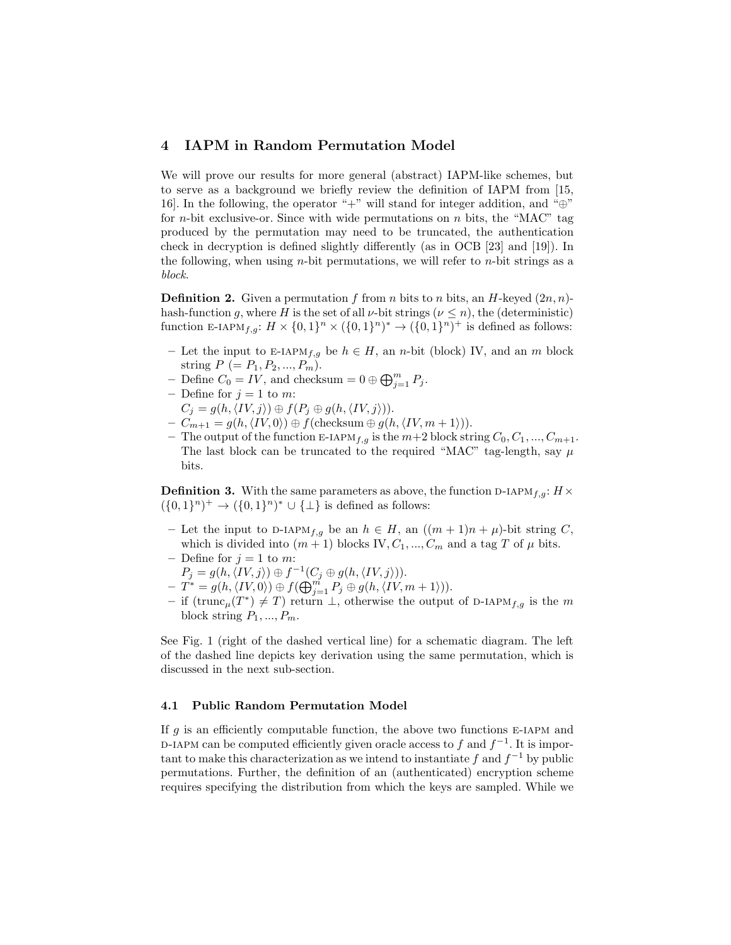## 4 IAPM in Random Permutation Model

We will prove our results for more general (abstract) IAPM-like schemes, but to serve as a background we briefly review the definition of IAPM from [15, 16]. In the following, the operator "+" will stand for integer addition, and " $\oplus$ " for *n*-bit exclusive-or. Since with wide permutations on *n* bits, the "MAC" tag produced by the permutation may need to be truncated, the authentication check in decryption is defined slightly differently (as in OCB [23] and [19]). In the following, when using *n*-bit permutations, we will refer to *n*-bit strings as a block.

**Definition 2.** Given a permutation f from n bits to n bits, an H-keyed  $(2n, n)$ hash-function g, where H is the set of all  $\nu$ -bit strings ( $\nu \leq n$ ), the (deterministic) function E-IAPM<sub>f,g</sub>:  $H \times \{0,1\}^n \times (\{0,1\}^n)^* \to (\{0,1\}^n)^+$  is defined as follows:

- Let the input to E-IAPM<sub>f,g</sub> be  $h \in H$ , an n-bit (block) IV, and an m block string  $P (= P_1, P_2, ..., P_m)$ .
- Define  $C_0 = IV$ , and checksum =  $0 \oplus \bigoplus_{j=1}^{m} P_j$ .
- Define for  $j = 1$  to m:
- $C_j = g(h, \langle IV, j \rangle) \oplus f(P_j \oplus g(h, \langle IV, j \rangle)).$
- $-C_{m+1} = g(h, \langle IV, 0 \rangle) \oplus f(\text{checksum} \oplus g(h, \langle IV, m + 1 \rangle)).$
- The output of the function E-IAPM<sub>f,g</sub> is the  $m+2$  block string  $C_0, C_1, ..., C_{m+1}$ . The last block can be truncated to the required "MAC" tag-length, say  $\mu$ bits.

**Definition 3.** With the same parameters as above, the function D-IAPM<sub>f,g</sub>:  $H \times$  $({0,1}^n)^+ \to ({0,1}^n)^* \cup {\perp}$  is defined as follows:

- Let the input to D-IAPM<sub>f,g</sub> be an  $h \in H$ , an  $((m+1)n + \mu)$ -bit string C, which is divided into  $(m + 1)$  blocks IV,  $C_1, ..., C_m$  and a tag T of  $\mu$  bits.
- Define for  $j = 1$  to m:
- $P_j = g(h, \langle IV, j \rangle) \oplus f^{-1}(C_j \oplus g(h, \langle IV, j \rangle)).$
- $-\; T^* = g(h,\langle IV,0\rangle) \oplus f(\bigoplus_{j=1}^{m} P_j \oplus g(h,\langle IV, m+1\rangle)).$
- if (trunc<sub>µ</sub>(T<sup>\*</sup>) ≠ T) return  $\perp$ , otherwise the output of D-IAPM<sub>f,g</sub> is the m block string  $P_1, ..., P_m$ .

See Fig. 1 (right of the dashed vertical line) for a schematic diagram. The left of the dashed line depicts key derivation using the same permutation, which is discussed in the next sub-section.

### 4.1 Public Random Permutation Model

If q is an efficiently computable function, the above two functions  $E$ -IAPM and D-IAPM can be computed efficiently given oracle access to f and  $f^{-1}$ . It is important to make this characterization as we intend to instantiate f and  $f^{-1}$  by public permutations. Further, the definition of an (authenticated) encryption scheme requires specifying the distribution from which the keys are sampled. While we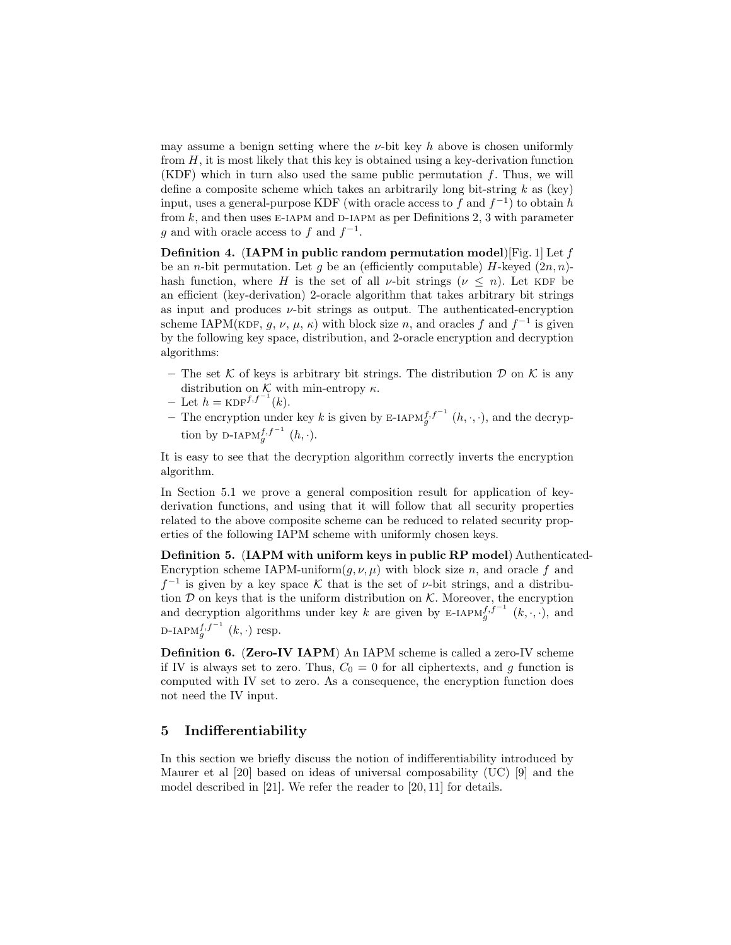may assume a benign setting where the  $\nu$ -bit key h above is chosen uniformly from  $H$ , it is most likely that this key is obtained using a key-derivation function (KDF) which in turn also used the same public permutation  $f$ . Thus, we will define a composite scheme which takes an arbitrarily long bit-string  $k$  as (key) input, uses a general-purpose KDF (with oracle access to f and  $f^{-1}$ ) to obtain h from  $k$ , and then uses E-IAPM and D-IAPM as per Definitions 2, 3 with parameter g and with oracle access to f and  $f^{-1}$ .

**Definition 4.** (IAPM in public random permutation model) Fig. 1 Let f be an *n*-bit permutation. Let g be an (efficiently computable) H-keyed  $(2n, n)$ hash function, where H is the set of all  $\nu$ -bit strings  $(\nu \leq n)$ . Let KDF be an efficient (key-derivation) 2-oracle algorithm that takes arbitrary bit strings as input and produces  $\nu$ -bit strings as output. The authenticated-encryption scheme IAPM(KDF, g,  $\nu$ ,  $\mu$ ,  $\kappa$ ) with block size n, and oracles f and  $f^{-1}$  is given by the following key space, distribution, and 2-oracle encryption and decryption algorithms:

- The set K of keys is arbitrary bit strings. The distribution  $\mathcal D$  on K is any distribution on  $K$  with min-entropy  $\kappa$ .
- Let  $h = \text{KDF}^{f, f^{-1}}(k)$ .
- The encryption under key k is given by E-IAPM $_f^{f,f^{-1}}(h,\cdot,\cdot)$ , and the decryption by D-IAPM $_f^{f,f^{-1}}(h,\cdot)$ .

It is easy to see that the decryption algorithm correctly inverts the encryption algorithm.

In Section 5.1 we prove a general composition result for application of keyderivation functions, and using that it will follow that all security properties related to the above composite scheme can be reduced to related security properties of the following IAPM scheme with uniformly chosen keys.

Definition 5. (IAPM with uniform keys in public RP model) Authenticated-Encryption scheme IAPM-uniform $(q, \nu, \mu)$  with block size n, and oracle f and  $f^{-1}$  is given by a key space K that is the set of v-bit strings, and a distribution  $D$  on keys that is the uniform distribution on  $K$ . Moreover, the encryption and decryption algorithms under key k are given by E-IAPM $f^{(f-1)}_g(k, \cdot, \cdot)$ , and D-IAP $M_g^{f,f^{-1}}(k, \cdot)$  resp.

Definition 6. (Zero-IV IAPM) An IAPM scheme is called a zero-IV scheme if IV is always set to zero. Thus,  $C_0 = 0$  for all ciphertexts, and g function is computed with IV set to zero. As a consequence, the encryption function does not need the IV input.

## 5 Indifferentiability

In this section we briefly discuss the notion of indifferentiability introduced by Maurer et al [20] based on ideas of universal composability (UC) [9] and the model described in [21]. We refer the reader to [20, 11] for details.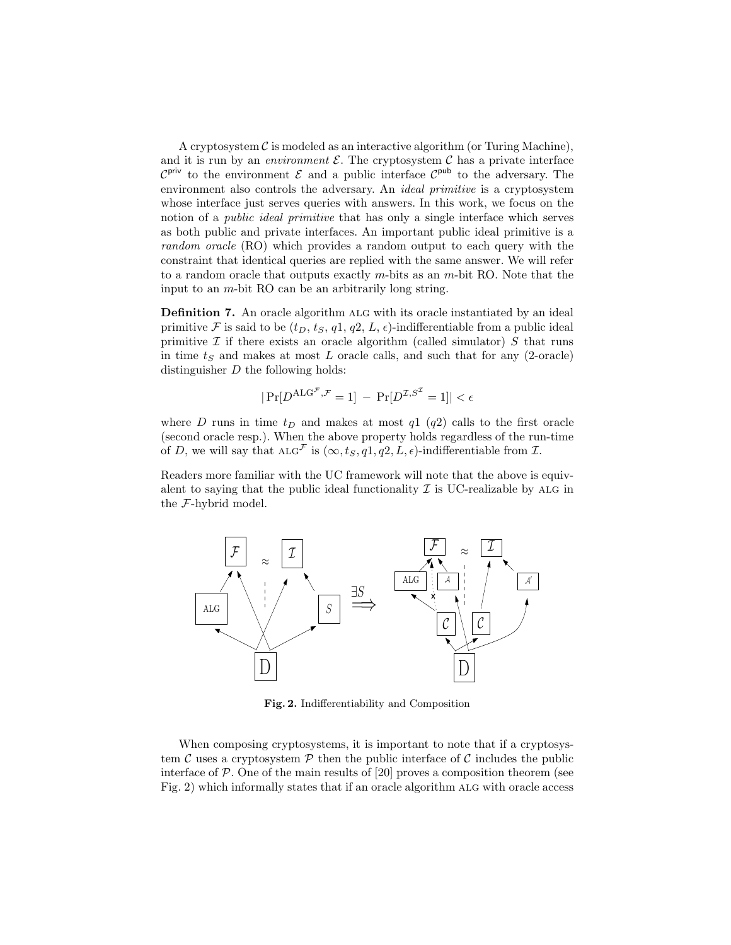A cryptosystem  $\mathcal C$  is modeled as an interactive algorithm (or Turing Machine), and it is run by an *environment*  $\mathcal E$ . The cryptosystem  $\mathcal C$  has a private interface  $\mathcal{C}^{\text{priv}}$  to the environment  $\mathcal E$  and a public interface  $\mathcal{C}^{\text{pub}}$  to the adversary. The environment also controls the adversary. An ideal primitive is a cryptosystem whose interface just serves queries with answers. In this work, we focus on the notion of a *public ideal primitive* that has only a single interface which serves as both public and private interfaces. An important public ideal primitive is a random oracle (RO) which provides a random output to each query with the constraint that identical queries are replied with the same answer. We will refer to a random oracle that outputs exactly  $m$ -bits as an  $m$ -bit RO. Note that the input to an m-bit RO can be an arbitrarily long string.

Definition 7. An oracle algorithm ALG with its oracle instantiated by an ideal primitive F is said to be  $(t_D, t_S, q1, q2, L, \epsilon)$ -indifferentiable from a public ideal primitive  $\mathcal I$  if there exists an oracle algorithm (called simulator)  $S$  that runs in time  $t<sub>S</sub>$  and makes at most L oracle calls, and such that for any (2-oracle) distinguisher  $D$  the following holds:

$$
|\Pr[D^{\text{ALG}^{\mathcal{F}}, \mathcal{F}} = 1] - \Pr[D^{\mathcal{I}, S^{\mathcal{I}}} = 1]| < \epsilon
$$

where D runs in time  $t_D$  and makes at most  $q_1$  ( $q_2$ ) calls to the first oracle (second oracle resp.). When the above property holds regardless of the run-time of D, we will say that  $ALG^{\mathcal{F}}$  is  $(\infty, t_S, q_1, q_2, L, \epsilon)$ -indifferentiable from  $\mathcal{I}$ .

Readers more familiar with the UC framework will note that the above is equivalent to saying that the public ideal functionality  $\mathcal I$  is UC-realizable by ALG in the F-hybrid model.



Fig. 2. Indifferentiability and Composition

When composing cryptosystems, it is important to note that if a cryptosystem C uses a cryptosystem  $\mathcal P$  then the public interface of C includes the public interface of  $P$ . One of the main results of [20] proves a composition theorem (see Fig. 2) which informally states that if an oracle algorithm alg with oracle access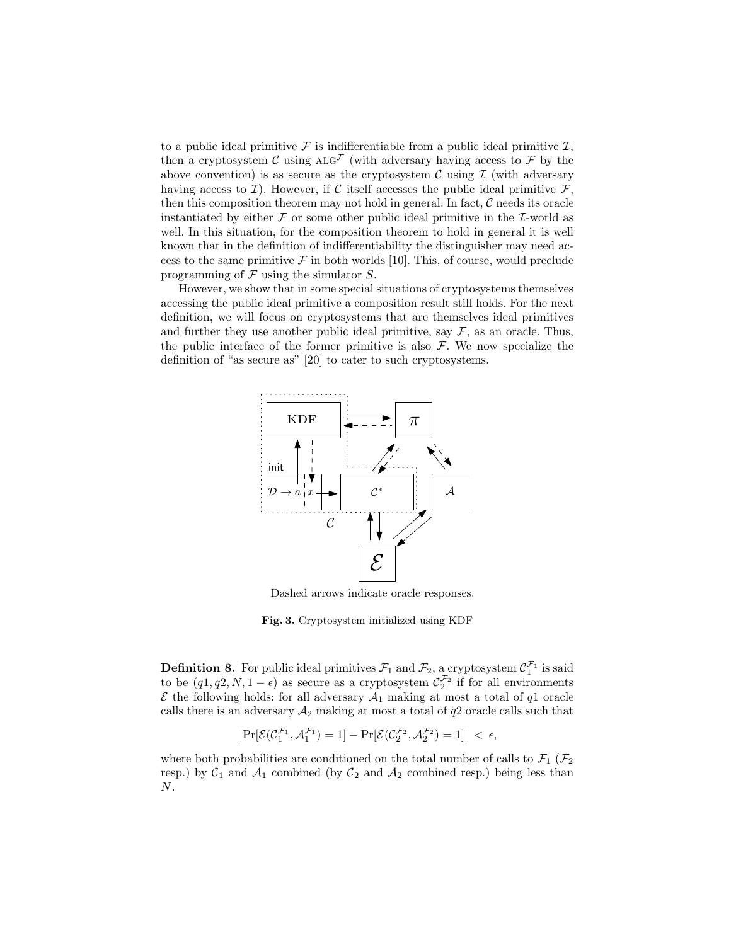to a public ideal primitive  $\mathcal F$  is indifferentiable from a public ideal primitive  $\mathcal I$ , then a cryptosystem C using  $ALG^{\mathcal{F}}$  (with adversary having access to  $\mathcal{F}$  by the above convention) is as secure as the cryptosystem  $\mathcal C$  using  $\mathcal I$  (with adversary having access to  $\mathcal{I}$ ). However, if C itself accesses the public ideal primitive  $\mathcal{F}$ , then this composition theorem may not hold in general. In fact,  $C$  needs its oracle instantiated by either  $\mathcal F$  or some other public ideal primitive in the  $\mathcal I$ -world as well. In this situation, for the composition theorem to hold in general it is well known that in the definition of indifferentiability the distinguisher may need access to the same primitive  $\mathcal F$  in both worlds [10]. This, of course, would preclude programming of  $\mathcal F$  using the simulator  $S$ .

However, we show that in some special situations of cryptosystems themselves accessing the public ideal primitive a composition result still holds. For the next definition, we will focus on cryptosystems that are themselves ideal primitives and further they use another public ideal primitive, say  $\mathcal{F}$ , as an oracle. Thus, the public interface of the former primitive is also  $\mathcal{F}$ . We now specialize the definition of "as secure as" [20] to cater to such cryptosystems.



Dashed arrows indicate oracle responses.

Fig. 3. Cryptosystem initialized using KDF

**Definition 8.** For public ideal primitives  $\mathcal{F}_1$  and  $\mathcal{F}_2$ , a cryptosystem  $\mathcal{C}_1^{\mathcal{F}_1}$  is said to be  $(q_1, q_2, N, 1 - \epsilon)$  as secure as a cryptosystem  $C_2^{\mathcal{F}_2}$  if for all environments  $\mathcal E$  the following holds: for all adversary  $\mathcal A_1$  making at most a total of  $q_1$  oracle calls there is an adversary  $A_2$  making at most a total of  $q2$  oracle calls such that

$$
|\Pr[\mathcal{E}(\mathcal{C}_1^{\mathcal{F}_1}, \mathcal{A}_1^{\mathcal{F}_1}) = 1] - \Pr[\mathcal{E}(\mathcal{C}_2^{\mathcal{F}_2}, \mathcal{A}_2^{\mathcal{F}_2}) = 1]| < \epsilon,
$$

where both probabilities are conditioned on the total number of calls to  $\mathcal{F}_1$  ( $\mathcal{F}_2$ ) resp.) by  $C_1$  and  $A_1$  combined (by  $C_2$  and  $A_2$  combined resp.) being less than N.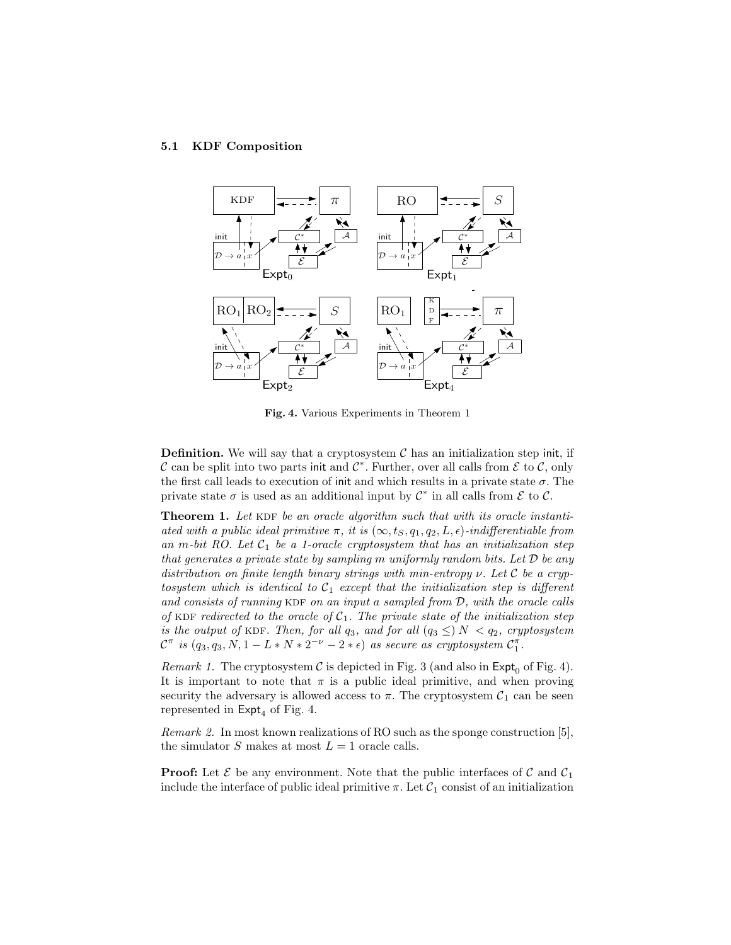#### 5.1 KDF Composition



Fig. 4. Various Experiments in Theorem 1

**Definition.** We will say that a cryptosystem  $C$  has an initialization step init, if C can be split into two parts init and  $\mathcal{C}^*$ . Further, over all calls from  $\mathcal E$  to  $\mathcal C$ , only the first call leads to execution of init and which results in a private state  $\sigma$ . The private state  $\sigma$  is used as an additional input by  $\mathcal{C}^*$  in all calls from  $\mathcal E$  to  $\mathcal C$ .

**Theorem 1.** Let KDF be an oracle algorithm such that with its oracle instantiated with a public ideal primitive  $\pi$ , it is  $(\infty, t_S, q_1, q_2, L, \epsilon)$ -indifferentiable from an m-bit RO. Let  $C_1$  be a 1-oracle cryptosystem that has an initialization step that generates a private state by sampling  $m$  uniformly random bits. Let  $D$  be any distribution on finite length binary strings with min-entropy  $\nu$ . Let C be a crypto to the initial to the initial the initialization step is different and consists of running KDF on an input a sampled from  $D$ , with the oracle calls of KDF redirected to the oracle of  $C_1$ . The private state of the initialization step is the output of KDF. Then, for all  $q_3$ , and for all  $(q_3 \leq) N < q_2$ , cryptosystem  $\mathcal{C}^{\pi}$  is  $(q_3, q_3, N, 1 - L*N*2^{-\nu} - 2*\epsilon)$  as secure as cryptosystem  $\mathcal{C}_1^{\pi}$ .

Remark 1. The cryptosystem C is depicted in Fig. 3 (and also in  $\mathsf{Expt}_0$  of Fig. 4). It is important to note that  $\pi$  is a public ideal primitive, and when proving security the adversary is allowed access to  $\pi$ . The cryptosystem  $C_1$  can be seen represented in  $Expt_4$  of Fig. 4.

Remark 2. In most known realizations of RO such as the sponge construction [5], the simulator S makes at most  $L = 1$  oracle calls.

**Proof:** Let  $\mathcal{E}$  be any environment. Note that the public interfaces of  $\mathcal{C}$  and  $\mathcal{C}_1$ include the interface of public ideal primitive  $\pi$ . Let  $C_1$  consist of an initialization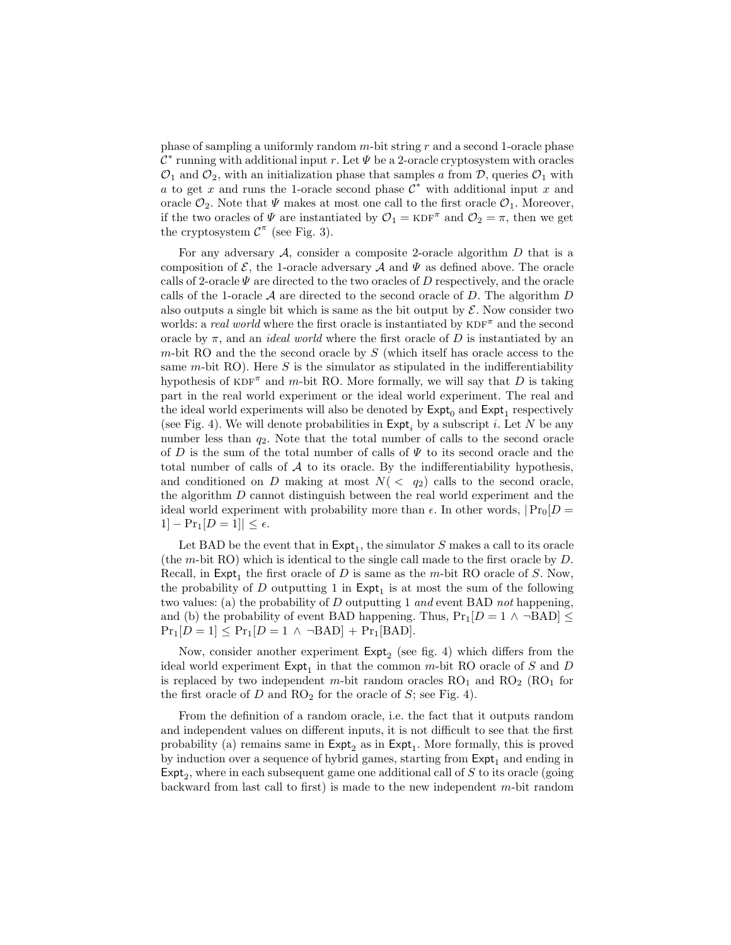phase of sampling a uniformly random  $m$ -bit string r and a second 1-oracle phase  $\mathcal{C}^*$  running with additional input r. Let  $\Psi$  be a 2-oracle cryptosystem with oracles  $\mathcal{O}_1$  and  $\mathcal{O}_2$ , with an initialization phase that samples a from  $\mathcal{D}$ , queries  $\mathcal{O}_1$  with a to get x and runs the 1-oracle second phase  $\mathcal{C}^*$  with additional input x and oracle  $\mathcal{O}_2$ . Note that  $\Psi$  makes at most one call to the first oracle  $\mathcal{O}_1$ . Moreover, if the two oracles of  $\Psi$  are instantiated by  $\mathcal{O}_1 = \text{KDF}^\pi$  and  $\mathcal{O}_2 = \pi$ , then we get the cryptosystem  $C^{\pi}$  (see Fig. 3).

For any adversary  $A$ , consider a composite 2-oracle algorithm  $D$  that is a composition of  $\mathcal{E}$ , the 1-oracle adversary  $\mathcal{A}$  and  $\Psi$  as defined above. The oracle calls of 2-oracle  $\Psi$  are directed to the two oracles of D respectively, and the oracle calls of the 1-oracle  $A$  are directed to the second oracle of  $D$ . The algorithm  $D$ also outputs a single bit which is same as the bit output by  $\mathcal{E}$ . Now consider two worlds: a real world where the first oracle is instantiated by  $KDF^{\pi}$  and the second oracle by  $\pi$ , and an *ideal world* where the first oracle of D is instantiated by an  $m$ -bit RO and the the second oracle by  $S$  (which itself has oracle access to the same m-bit RO). Here S is the simulator as stipulated in the indifferentiability hypothesis of  $KDF^{\pi}$  and m-bit RO. More formally, we will say that D is taking part in the real world experiment or the ideal world experiment. The real and the ideal world experiments will also be denoted by  $\textsf{Expt}_0$  and  $\textsf{Expt}_1$  respectively (see Fig. 4). We will denote probabilities in  $\textsf{Expt}_i$  by a subscript i. Let N be any number less than  $q_2$ . Note that the total number of calls to the second oracle of D is the sum of the total number of calls of  $\Psi$  to its second oracle and the total number of calls of  $A$  to its oracle. By the indifferentiability hypothesis, and conditioned on D making at most  $N(< q_2)$  calls to the second oracle, the algorithm D cannot distinguish between the real world experiment and the ideal world experiment with probability more than  $\epsilon$ . In other words,  $|Pr_{0}[D =$  $1]-\Pr_1[D=1] \leq \epsilon.$ 

Let BAD be the event that in  $\textsf{Expt}_1$ , the simulator S makes a call to its oracle (the m-bit RO) which is identical to the single call made to the first oracle by D. Recall, in  $\text{Expt}_1$  the first oracle of D is same as the m-bit RO oracle of S. Now, the probability of D outputting 1 in  $\textsf{Expt}_1$  is at most the sum of the following two values: (a) the probability of D outputting 1 and event BAD not happening, and (b) the probability of event BAD happening. Thus,  $Pr_1[D = 1 \land \neg BAD] \leq$  $Pr_1[D = 1] \leq Pr_1[D = 1 \land \neg BAD] + Pr_1[BAD].$ 

Now, consider another experiment  $\textsf{Expt}_2$  (see fig. 4) which differs from the ideal world experiment  $\textsf{Expt}_1$  in that the common m-bit RO oracle of S and D is replaced by two independent m-bit random oracles  $RO<sub>1</sub>$  and  $RO<sub>2</sub>$  ( $RO<sub>1</sub>$  for the first oracle of  $D$  and  $RO<sub>2</sub>$  for the oracle of  $S$ ; see Fig. 4).

From the definition of a random oracle, i.e. the fact that it outputs random and independent values on different inputs, it is not difficult to see that the first probability (a) remains same in  $\textsf{Expt}_2$  as in  $\textsf{Expt}_1$ . More formally, this is proved by induction over a sequence of hybrid games, starting from  $\textsf{Expt}_1$  and ending in  $Expt<sub>2</sub>$ , where in each subsequent game one additional call of S to its oracle (going backward from last call to first) is made to the new independent m-bit random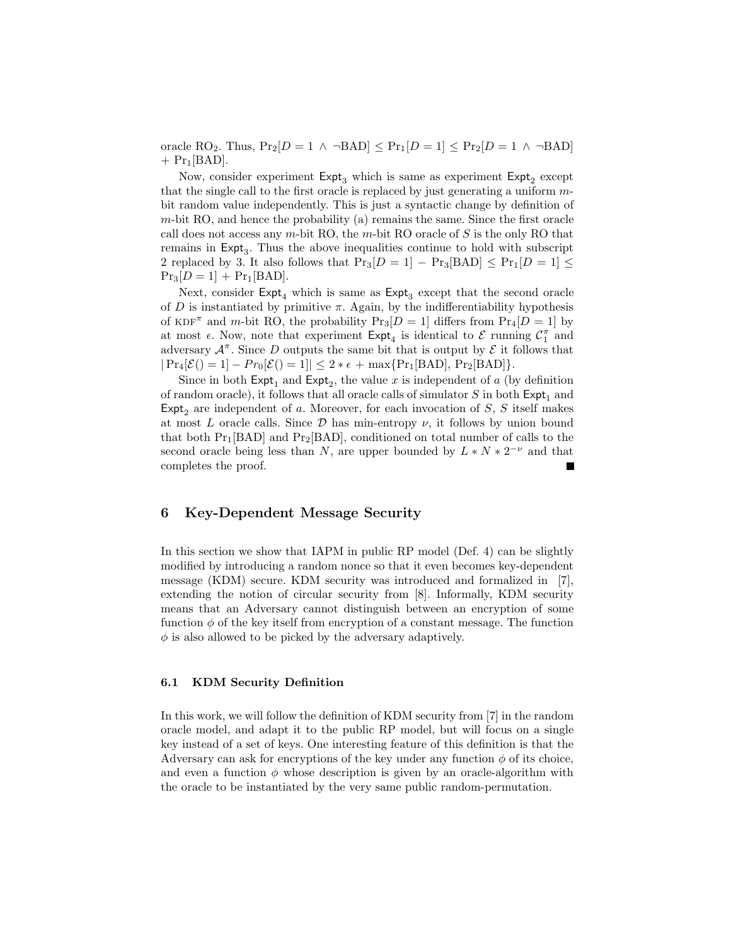oracle RO<sub>2</sub>. Thus,  $Pr_2[D = 1 \land \neg BAD] \leq Pr_1[D = 1] \leq Pr_2[D = 1 \land \neg BAD]$  $+$  Pr<sub>1</sub>[BAD].

Now, consider experiment  $Expt_3$  which is same as experiment  $Expt_2$  except that the single call to the first oracle is replaced by just generating a uniform mbit random value independently. This is just a syntactic change by definition of m-bit RO, and hence the probability (a) remains the same. Since the first oracle call does not access any  $m$ -bit RO, the  $m$ -bit RO oracle of S is the only RO that remains in Expt<sub>3</sub>. Thus the above inequalities continue to hold with subscript 2 replaced by 3. It also follows that  $Pr_3[D = 1] - Pr_3[BAD] \leq Pr_1[D = 1] \leq$  $Pr_3[D = 1] + Pr_1[BAD].$ 

Next, consider  $Expt_4$  which is same as  $Expt_3$  except that the second oracle of D is instantiated by primitive  $\pi$ . Again, by the indifferentiability hypothesis of KDF<sup> $\pi$ </sup> and m-bit RO, the probability Pr<sub>3</sub>[D = 1] differs from Pr<sub>4</sub>[D = 1] by at most  $\epsilon$ . Now, note that experiment  $\textsf{Expt}_4$  is identical to  $\mathcal E$  running  $\mathcal C_1^{\pi}$  and adversary  $A^{\pi}$ . Since D outputs the same bit that is output by  $\mathcal E$  it follows that  $|Pr_4[\mathcal{E}() = 1] - Pr_0[\mathcal{E}() = 1]| \leq 2 * \epsilon + \max\{Pr_1[\text{BAD}], Pr_2[\text{BAD}]\}.$ 

Since in both  $\textsf{Expt}_1$  and  $\textsf{Expt}_2$ , the value x is independent of a (by definition of random oracle), it follows that all oracle calls of simulator  $S$  in both  $\textsf{Expt}_1$  and  $Expt<sub>2</sub>$  are independent of a. Moreover, for each invocation of S, S itself makes at most L oracle calls. Since  $\mathcal D$  has min-entropy  $\nu$ , it follows by union bound that both  $Pr_{1}[BAD]$  and  $Pr_{2}[BAD]$ , conditioned on total number of calls to the second oracle being less than N, are upper bounded by  $L * N * 2^{-\nu}$  and that completes the proof.

## 6 Key-Dependent Message Security

In this section we show that IAPM in public RP model (Def. 4) can be slightly modified by introducing a random nonce so that it even becomes key-dependent message (KDM) secure. KDM security was introduced and formalized in [7], extending the notion of circular security from [8]. Informally, KDM security means that an Adversary cannot distinguish between an encryption of some function  $\phi$  of the key itself from encryption of a constant message. The function  $\phi$  is also allowed to be picked by the adversary adaptively.

#### 6.1 KDM Security Definition

In this work, we will follow the definition of KDM security from [7] in the random oracle model, and adapt it to the public RP model, but will focus on a single key instead of a set of keys. One interesting feature of this definition is that the Adversary can ask for encryptions of the key under any function  $\phi$  of its choice, and even a function  $\phi$  whose description is given by an oracle-algorithm with the oracle to be instantiated by the very same public random-permutation.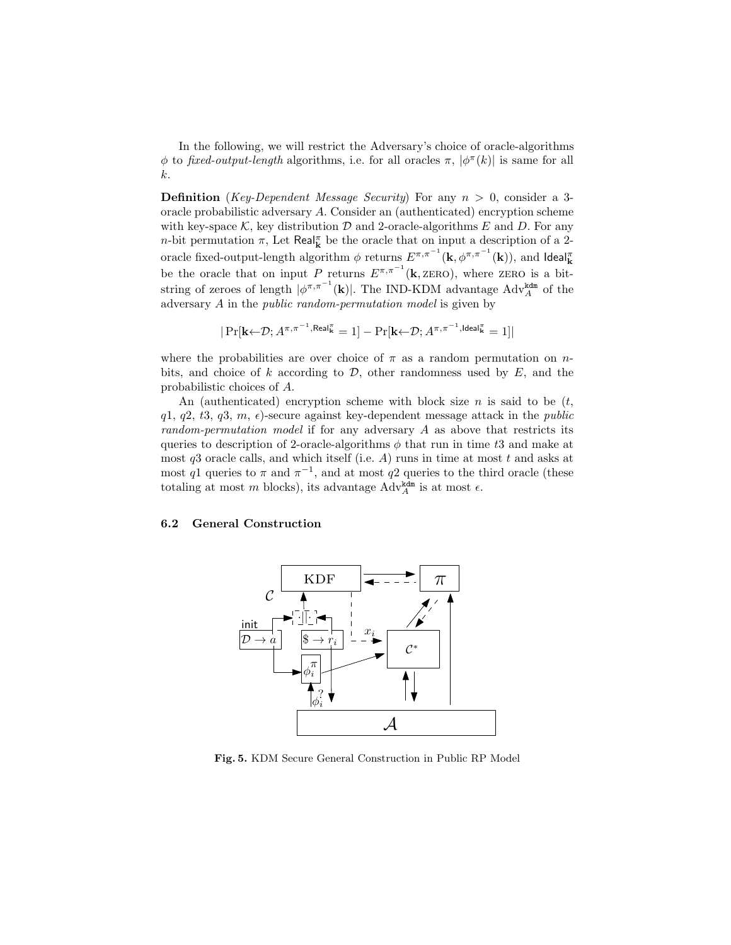In the following, we will restrict the Adversary's choice of oracle-algorithms  $\phi$  to fixed-output-length algorithms, i.e. for all oracles  $\pi$ ,  $|\phi^{\pi}(k)|$  is same for all k.

**Definition** (Key-Dependent Message Security) For any  $n > 0$ , consider a 3oracle probabilistic adversary A. Consider an (authenticated) encryption scheme with key-space  $\mathcal{K}$ , key distribution  $\mathcal{D}$  and 2-oracle-algorithms E and D. For any *n*-bit permutation  $\pi$ , Let Real<sub>k</sub><sup> $\pi$ </sup> be the oracle that on input a description of a 2oracle fixed-output-length algorithm  $\phi$  returns  $E^{\pi,\pi^{-1}}(\mathbf{k},\phi^{\pi,\pi^{-1}}(\mathbf{k}))$ , and Ideal<sub>K</sub> be the oracle that on input P returns  $E^{\pi,\pi^{-1}}(\mathbf{k}, \text{zero})$ , where ZERO is a bitstring of zeroes of length  $|\phi^{\pi,\pi^{-1}}({\bf k})|$ . The IND-KDM advantage Adv $_A^{\bf kdm}$  of the adversary A in the public random-permutation model is given by

$$
|\Pr[\mathbf{k} \!\! \leftarrow \!\! \mathcal{D}; A^{\pi,\pi^{-1},\mathsf{Real}^{\pi}_{\mathbf{k}}}=1] - \Pr[\mathbf{k} \!\! \leftarrow \!\! \mathcal{D}; A^{\pi,\pi^{-1},\mathsf{Ideal}^{\pi}_{\mathbf{k}}}=1]|
$$

where the probabilities are over choice of  $\pi$  as a random permutation on nbits, and choice of  $k$  according to  $D$ , other randomness used by  $E$ , and the probabilistic choices of A.

An (authenticated) encryption scheme with block size n is said to be  $(t,$  $q1, q2, t3, q3, m, \epsilon$ -secure against key-dependent message attack in the *public* random-permutation model if for any adversary A as above that restricts its queries to description of 2-oracle-algorithms  $\phi$  that run in time t3 and make at most  $q3$  oracle calls, and which itself (i.e. A) runs in time at most t and asks at most q1 queries to  $\pi$  and  $\pi^{-1}$ , and at most q2 queries to the third oracle (these totaling at most m blocks), its advantage  $\widehat{Adv}^{\text{kdm}}_A$  is at most  $\epsilon$ .

#### 6.2 General Construction



Fig. 5. KDM Secure General Construction in Public RP Model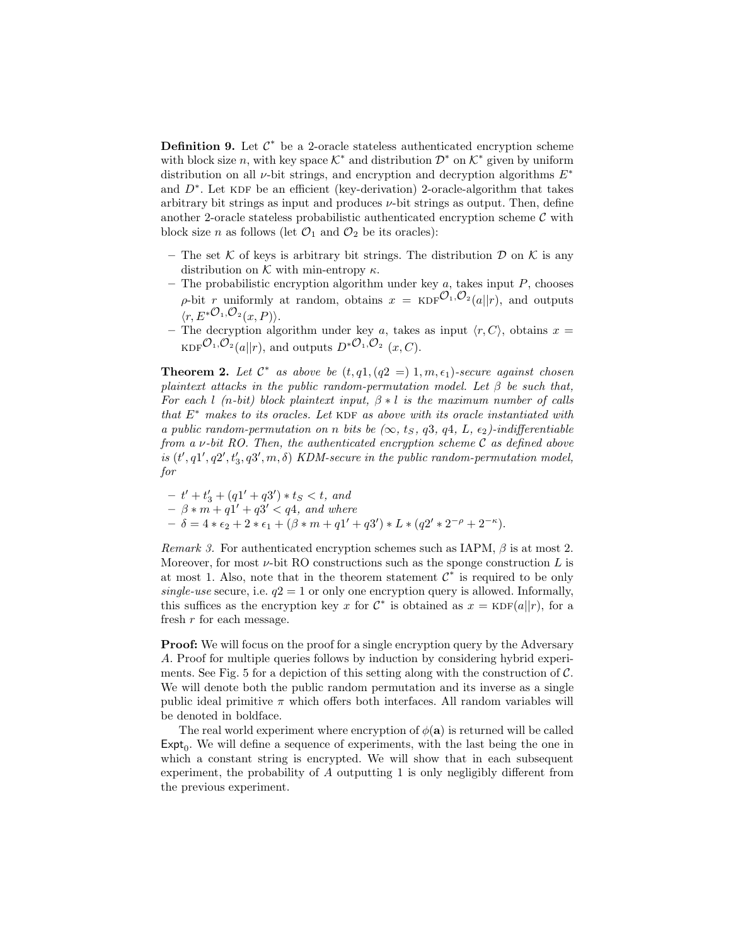**Definition 9.** Let  $\mathcal{C}^*$  be a 2-oracle stateless authenticated encryption scheme with block size n, with key space  $\mathcal{K}^*$  and distribution  $\mathcal{D}^*$  on  $\mathcal{K}^*$  given by uniform distribution on all  $\nu$ -bit strings, and encryption and decryption algorithms  $E^*$ and  $D^*$ . Let KDF be an efficient (key-derivation) 2-oracle-algorithm that takes arbitrary bit strings as input and produces  $\nu$ -bit strings as output. Then, define another 2-oracle stateless probabilistic authenticated encryption scheme  $\mathcal C$  with block size *n* as follows (let  $\mathcal{O}_1$  and  $\mathcal{O}_2$  be its oracles):

- The set K of keys is arbitrary bit strings. The distribution  $\mathcal D$  on K is any distribution on  $K$  with min-entropy  $\kappa$ .
- The probabilistic encryption algorithm under key  $a$ , takes input  $P$ , chooses ρ-bit r uniformly at random, obtains  $x = KDF^{\mathcal{O}_1,\mathcal{O}_2}(a||r)$ , and outputs  $\langle r, E^{*O_1, O_2}(x, P) \rangle$ .
- The decryption algorithm under key a, takes as input  $\langle r, C \rangle$ , obtains x =  $KDF^{\mathcal{O}_1,\mathcal{O}_2}(a||r)$ , and outputs  $D^{*\mathcal{O}_1,\mathcal{O}_2}(x,C)$ .

**Theorem 2.** Let  $\mathcal{C}^*$  as above be  $(t, q1, (q2 =) 1, m, \epsilon_1)$ -secure against chosen plaintext attacks in the public random-permutation model. Let  $\beta$  be such that, For each l (n-bit) block plaintext input,  $\beta * l$  is the maximum number of calls that  $E^*$  makes to its oracles. Let KDF as above with its oracle instantiated with a public random-permutation on n bits be  $(\infty, t_S, q3, q4, L, \epsilon_2)$ -indifferentiable from a  $\nu$ -bit RO. Then, the authenticated encryption scheme C as defined above is  $(t', q1', q2', t'_3, q3', m, \delta)$  KDM-secure in the public random-permutation model, for

 $- t' + t'_{3} + (q1' + q3') * t_{S} < t,$  and  $- \beta * m + q1' + q3' < q4$ , and where  $-\delta = 4 * \epsilon_2 + 2 * \epsilon_1 + (\beta * m + q1' + q3') * L * (q2' * 2^{-\rho} + 2^{-\kappa}).$ 

*Remark 3.* For authenticated encryption schemes such as IAPM,  $\beta$  is at most 2. Moreover, for most  $\nu$ -bit RO constructions such as the sponge construction L is at most 1. Also, note that in the theorem statement  $\mathcal{C}^*$  is required to be only single-use secure, i.e.  $q2 = 1$  or only one encryption query is allowed. Informally, this suffices as the encryption key x for  $\mathcal{C}^*$  is obtained as  $x = KDF(a||r)$ , for a fresh  $r$  for each message.

**Proof:** We will focus on the proof for a single encryption query by the Adversary A. Proof for multiple queries follows by induction by considering hybrid experiments. See Fig. 5 for a depiction of this setting along with the construction of  $\mathcal{C}$ . We will denote both the public random permutation and its inverse as a single public ideal primitive  $\pi$  which offers both interfaces. All random variables will be denoted in boldface.

The real world experiment where encryption of  $\phi(\mathbf{a})$  is returned will be called  $\textsf{Expt}_0$ . We will define a sequence of experiments, with the last being the one in which a constant string is encrypted. We will show that in each subsequent experiment, the probability of A outputting 1 is only negligibly different from the previous experiment.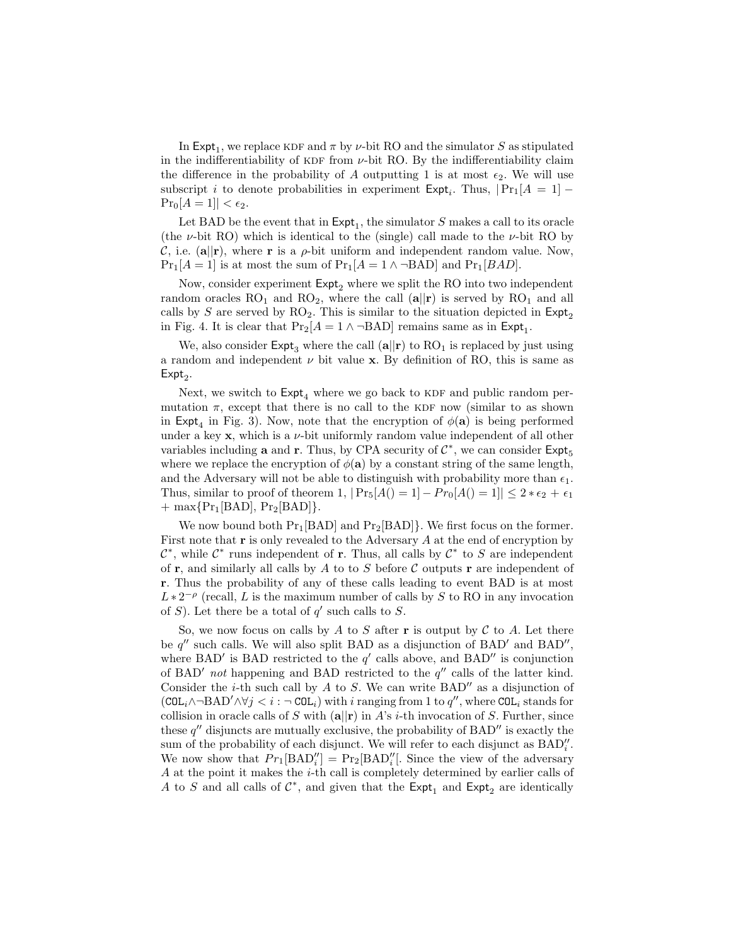In  $\textsf{Expt}_1$ , we replace KDF and  $\pi$  by  $\nu$ -bit RO and the simulator S as stipulated in the indifferentiability of KDF from  $\nu$ -bit RO. By the indifferentiability claim the difference in the probability of A outputting 1 is at most  $\epsilon_2$ . We will use subscript *i* to denote probabilities in experiment  $\textsf{Expt}_i$ . Thus,  $|\Pr_1[A = 1]$  $Pr_0[A = 1] < \epsilon_2.$ 

Let BAD be the event that in  $\textsf{Expt}_1$ , the simulator S makes a call to its oracle (the  $\nu$ -bit RO) which is identical to the (single) call made to the  $\nu$ -bit RO by C, i.e.  $(a||r)$ , where r is a  $\rho$ -bit uniform and independent random value. Now,  $Pr_1[A = 1]$  is at most the sum of  $Pr_1[A = 1 \land \neg BAD]$  and  $Pr_1[BAD]$ .

Now, consider experiment  $Expt_2$  where we split the RO into two independent random oracles  $RO<sub>1</sub>$  and  $RO<sub>2</sub>$ , where the call  $(\mathbf{a}||\mathbf{r})$  is served by  $RO<sub>1</sub>$  and all calls by S are served by  $RO_2$ . This is similar to the situation depicted in  $Expt_2$ in Fig. 4. It is clear that  $Pr_2[A = 1 \land \neg BAD]$  remains same as in  $Expt_1$ .

We, also consider  $Expt_3$  where the call  $(\mathbf{a}||\mathbf{r})$  to  $RO_1$  is replaced by just using a random and independent  $\nu$  bit value x. By definition of RO, this is same as  $\mathsf{Expt}_2.$ 

Next, we switch to  $Expt_4$  where we go back to KDF and public random permutation  $\pi$ , except that there is no call to the KDF now (similar to as shown in Expt<sub>4</sub> in Fig. 3). Now, note that the encryption of  $\phi(\mathbf{a})$  is being performed under a key  $x$ , which is a  $\nu$ -bit uniformly random value independent of all other variables including a and r. Thus, by CPA security of  $C^*$ , we can consider  $\textsf{Expt}_5$ where we replace the encryption of  $\phi(\mathbf{a})$  by a constant string of the same length, and the Adversary will not be able to distinguish with probability more than  $\epsilon_1$ . Thus, similar to proof of theorem 1,  $|\Pr_5[A() = 1] - \Pr_0[A() = 1]| \leq 2 \times \epsilon_2 + \epsilon_1$  $+$  max $\{Pr_1[BAD], Pr_2[BAD]\}.$ 

We now bound both  $Pr_1[BAD]$  and  $Pr_2[BAD]$ . We first focus on the former. First note that  $\bf{r}$  is only revealed to the Adversary A at the end of encryption by  $\mathcal{C}^*$ , while  $\mathcal{C}^*$  runs independent of **r**. Thus, all calls by  $\mathcal{C}^*$  to S are independent of  $r$ , and similarly all calls by A to to S before C outputs r are independent of r. Thus the probability of any of these calls leading to event BAD is at most  $L*2^{-\rho}$  (recall, L is the maximum number of calls by S to RO in any invocation of  $S$ ). Let there be a total of  $q'$  such calls to  $S$ .

So, we now focus on calls by A to S after  $\bf{r}$  is output by C to A. Let there be  $q''$  such calls. We will also split BAD as a disjunction of BAD' and BAD'', where  $BAD'$  is BAD restricted to the  $q'$  calls above, and  $BAD''$  is conjunction of BAD' not happening and BAD restricted to the  $q''$  calls of the latter kind. Consider the *i*-th such call by  $A$  to  $S$ . We can write  $BAD''$  as a disjunction of  $(\text{COL}_i \wedge \neg \text{BAD}' \wedge \forall j < i : \neg \text{COL}_i)$  with i ranging from 1 to  $q''$ , where  $\text{COL}_i$  stands for collision in oracle calls of S with  $(a||r)$  in A's *i*-th invocation of S. Further, since these  $q''$  disjuncts are mutually exclusive, the probability of  $BAD''$  is exactly the sum of the probability of each disjunct. We will refer to each disjunct as  $BAD''_i$ . We now show that  $Pr_1[BAD_i''] = Pr_2[BAD_i'']$ . Since the view of the adversary  ${\cal A}$  at the point it makes the  $i\text{-th}$  call is completely determined by earlier calls of A to S and all calls of  $\mathcal{C}^*$ , and given that the  $\textsf{Expt}_1$  and  $\textsf{Expt}_2$  are identically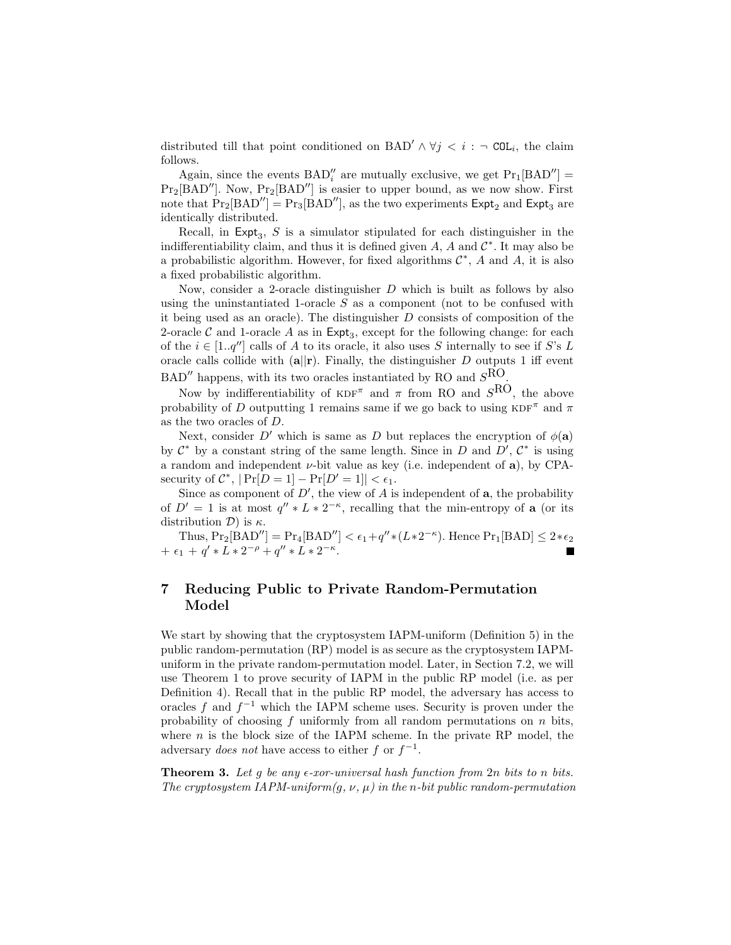distributed till that point conditioned on BAD'  $\land \forall j \leq i : \neg \text{ COL}_i$ , the claim follows.

Again, since the events  $BAD''_i$  are mutually exclusive, we get  $Pr_1[BAD''] =$  $Pr_2[BAD'']$ . Now,  $Pr_2[BAD'']$  is easier to upper bound, as we now show. First note that  $Pr_2[BAD''] = Pr_3[BAD'']$ , as the two experiments  $Expt_2$  and  $Expt_3$  are identically distributed.

Recall, in  $Expt_3$ , S is a simulator stipulated for each distinguisher in the indifferentiability claim, and thus it is defined given  $A$ ,  $A$  and  $\mathcal{C}^*$ . It may also be a probabilistic algorithm. However, for fixed algorithms  $\mathcal{C}^*$ , A and A, it is also a fixed probabilistic algorithm.

Now, consider a 2-oracle distinguisher  $D$  which is built as follows by also using the uninstantiated 1-oracle  $S$  as a component (not to be confused with it being used as an oracle). The distinguisher D consists of composition of the 2-oracle  $\mathcal C$  and 1-oracle  $A$  as in  $\textsf{Expt}_3$ , except for the following change: for each of the  $i \in [1..q'']$  calls of A to its oracle, it also uses S internally to see if S's L oracle calls collide with  $(a||r)$ . Finally, the distinguisher D outputs 1 iff event  $BAD''$  happens, with its two oracles instantiated by RO and  $S<sup>RO</sup>$ .

Now by indifferentiability of  $KDF^{\pi}$  and  $\pi$  from RO and  $S^{RO}$ , the above probability of D outputting 1 remains same if we go back to using  $KDF^{\pi}$  and  $\pi$ as the two oracles of D.

Next, consider D' which is same as D but replaces the encryption of  $\phi(\mathbf{a})$ by  $\mathcal{C}^*$  by a constant string of the same length. Since in D and  $D'$ ,  $\mathcal{C}^*$  is using a random and independent  $\nu$ -bit value as key (i.e. independent of a), by CPAsecurity of  $C^*$ ,  $|\Pr[D=1]-\Pr[D'=1]| < \epsilon_1$ .

Since as component of  $D'$ , the view of  $A$  is independent of  $a$ , the probability of  $D' = 1$  is at most  $q'' * L * 2^{-\kappa}$ , recalling that the min-entropy of **a** (or its distribution  $\mathcal{D}$ ) is  $\kappa$ .

Thus,  $Pr_2[BAD''] = Pr_4[BAD''] < \epsilon_1+q''*(L*2^{-\kappa}).$  Hence  $Pr_1[BAD] \leq 2*\epsilon_2$ +  $\epsilon_1$  +  $q' * L * 2^{-\rho} + q'' * L * 2^{-\kappa}.$ 

# 7 Reducing Public to Private Random-Permutation Model

We start by showing that the cryptosystem IAPM-uniform (Definition 5) in the public random-permutation (RP) model is as secure as the cryptosystem IAPMuniform in the private random-permutation model. Later, in Section 7.2, we will use Theorem 1 to prove security of IAPM in the public RP model (i.e. as per Definition 4). Recall that in the public RP model, the adversary has access to oracles f and  $f^{-1}$  which the IAPM scheme uses. Security is proven under the probability of choosing  $f$  uniformly from all random permutations on  $n$  bits, where  $n$  is the block size of the IAPM scheme. In the private RP model, the adversary *does not* have access to either f or  $f^{-1}$ .

**Theorem 3.** Let g be any  $\epsilon$ -xor-universal hash function from  $2n$  bits to n bits. The cryptosystem IAPM-uniform $(g, \nu, \mu)$  in the n-bit public random-permutation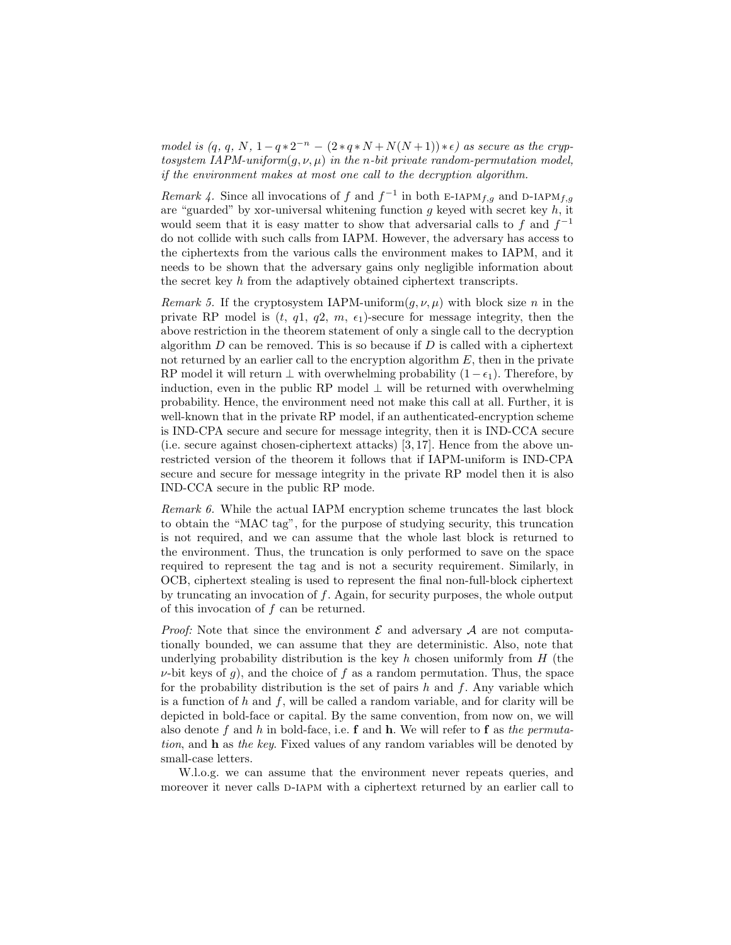model is  $(q, q, N, 1-q*2^{-n} - (2*q*N+N(N+1))*\epsilon)$  as secure as the cryptosystem IAPM-uniform $(g, \nu, \mu)$  in the n-bit private random-permutation model, if the environment makes at most one call to the decryption algorithm.

Remark 4. Since all invocations of f and  $f^{-1}$  in both E-IAPM<sub>f,g</sub> and D-IAPM<sub>f,g</sub> are "guarded" by xor-universal whitening function  $g$  keyed with secret key  $h$ , it would seem that it is easy matter to show that adversarial calls to f and  $f^{-1}$ do not collide with such calls from IAPM. However, the adversary has access to the ciphertexts from the various calls the environment makes to IAPM, and it needs to be shown that the adversary gains only negligible information about the secret key h from the adaptively obtained ciphertext transcripts.

Remark 5. If the cryptosystem IAPM-uniform $(q, \nu, \mu)$  with block size n in the private RP model is  $(t, q1, q2, m, \epsilon_1)$ -secure for message integrity, then the above restriction in the theorem statement of only a single call to the decryption algorithm  $D$  can be removed. This is so because if  $D$  is called with a ciphertext not returned by an earlier call to the encryption algorithm  $E$ , then in the private RP model it will return  $\perp$  with overwhelming probability  $(1 - \epsilon_1)$ . Therefore, by induction, even in the public RP model  $\perp$  will be returned with overwhelming probability. Hence, the environment need not make this call at all. Further, it is well-known that in the private RP model, if an authenticated-encryption scheme is IND-CPA secure and secure for message integrity, then it is IND-CCA secure (i.e. secure against chosen-ciphertext attacks) [3, 17]. Hence from the above unrestricted version of the theorem it follows that if IAPM-uniform is IND-CPA secure and secure for message integrity in the private RP model then it is also IND-CCA secure in the public RP mode.

Remark 6. While the actual IAPM encryption scheme truncates the last block to obtain the "MAC tag", for the purpose of studying security, this truncation is not required, and we can assume that the whole last block is returned to the environment. Thus, the truncation is only performed to save on the space required to represent the tag and is not a security requirement. Similarly, in OCB, ciphertext stealing is used to represent the final non-full-block ciphertext by truncating an invocation of  $f$ . Again, for security purposes, the whole output of this invocation of  $f$  can be returned.

*Proof:* Note that since the environment  $\mathcal E$  and adversary  $\mathcal A$  are not computationally bounded, we can assume that they are deterministic. Also, note that underlying probability distribution is the key h chosen uniformly from  $H$  (the  $\nu$ -bit keys of g), and the choice of f as a random permutation. Thus, the space for the probability distribution is the set of pairs  $h$  and  $f$ . Any variable which is a function of  $h$  and  $f$ , will be called a random variable, and for clarity will be depicted in bold-face or capital. By the same convention, from now on, we will also denote f and h in bold-face, i.e. f and h. We will refer to f as the permutation, and h as the key. Fixed values of any random variables will be denoted by small-case letters.

W.l.o.g. we can assume that the environment never repeats queries, and moreover it never calls D-IAPM with a ciphertext returned by an earlier call to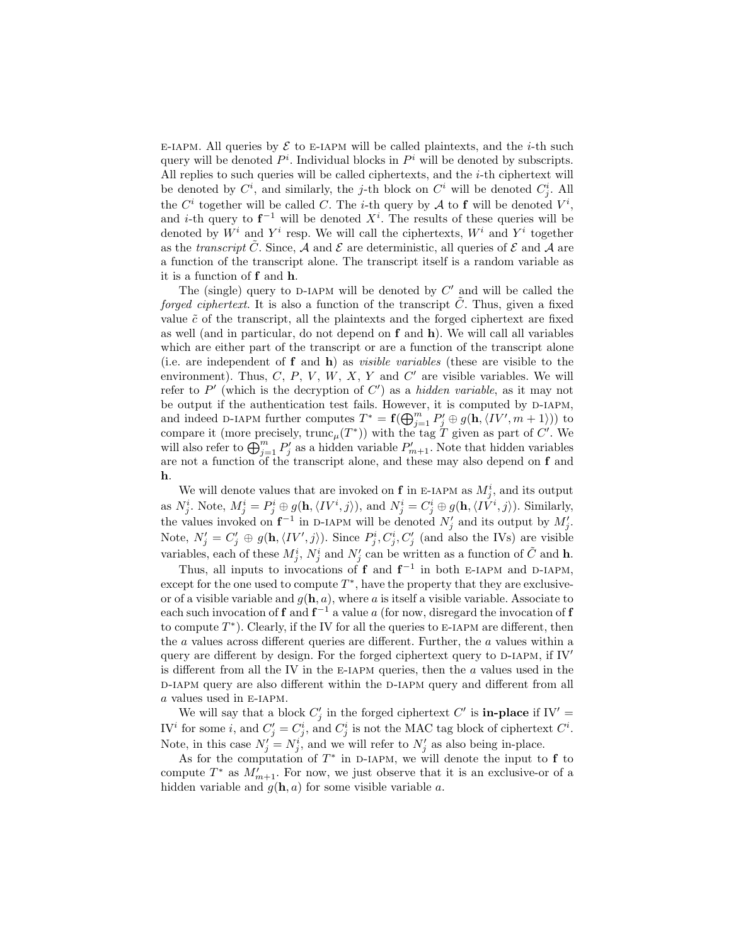E-IAPM. All queries by  $\mathcal E$  to E-IAPM will be called plaintexts, and the *i*-th such query will be denoted  $P<sup>i</sup>$ . Individual blocks in  $P<sup>i</sup>$  will be denoted by subscripts. All replies to such queries will be called ciphertexts, and the  $i$ -th ciphertext will be denoted by  $C^i$ , and similarly, the *j*-th block on  $C^i$  will be denoted  $C^i_j$ . All the  $C^i$  together will be called C. The *i*-th query by A to f will be denoted  $V^i$ , and *i*-th query to  $f^{-1}$  will be denoted  $X^i$ . The results of these queries will be denoted by  $W^i$  and  $Y^i$  resp. We will call the ciphertexts,  $W^i$  and  $Y^i$  together as the *transcript*  $\tilde{C}$ . Since, A and E are deterministic, all queries of E and A are a function of the transcript alone. The transcript itself is a random variable as it is a function of f and h.

The (single) query to  $D$ -IAPM will be denoted by  $C'$  and will be called the forged ciphertext. It is also a function of the transcript  $C$ . Thus, given a fixed value  $\tilde{c}$  of the transcript, all the plaintexts and the forged ciphertext are fixed as well (and in particular, do not depend on f and h). We will call all variables which are either part of the transcript or are a function of the transcript alone (i.e. are independent of f and h) as visible variables (these are visible to the environment). Thus,  $C, P, V, W, X, Y$  and  $C'$  are visible variables. We will refer to  $P'$  (which is the decryption of  $C'$ ) as a *hidden variable*, as it may not be output if the authentication test fails. However, it is computed by D-IAPM, and indeed D-IAPM further computes  $T^* = \mathbf{f}(\bigoplus_{j=1}^m P'_j \oplus g(\mathbf{h}, \langle IV', m+1 \rangle))$  to compare it (more precisely,  $\text{trunc}_{\mu}(T^*)$ ) with the tag T given as part of C'. We will also refer to  $\bigoplus_{j=1}^m P'_j$  as a hidden variable  $P'_{m+1}$ . Note that hidden variables are not a function of the transcript alone, and these may also depend on f and h.

We will denote values that are invoked on **f** in E-IAPM as  $M_j^i$ , and its output as  $N_j^i$ . Note,  $M_j^i = P_j^i \oplus g(\mathbf{h}, \langle IV^i, j \rangle)$ , and  $N_j^i = C_j^i \oplus g(\mathbf{h}, \langle IV^i, j \rangle)$ . Similarly, the values invoked on  $f^{-1}$  in D-IAPM will be denoted  $N'_j$  and its output by  $M'_j$ . Note,  $N'_j = C'_j \oplus g(\mathbf{h}, \langle IV', j \rangle)$ . Since  $P^i_j, C^i_j, C'_j$  (and also the IVs) are visible variables, each of these  $M_j^i$ ,  $N_j^i$  and  $N_j'$  can be written as a function of  $\tilde{C}$  and **h**.

Thus, all inputs to invocations of  $f$  and  $f^{-1}$  in both E-IAPM and D-IAPM, except for the one used to compute  $T^*$ , have the property that they are exclusiveor of a visible variable and  $q(h, a)$ , where a is itself a visible variable. Associate to each such invocation of **f** and  $f^{-1}$  a value a (for now, disregard the invocation of **f** to compute  $T^*$ ). Clearly, if the IV for all the queries to E-IAPM are different, then the a values across different queries are different. Further, the a values within a query are different by design. For the forged ciphertext query to  $D$ -IAPM, if IV' is different from all the IV in the  $E$ -IAPM queries, then the  $a$  values used in the  $D$ -IAPM query are also different within the D-IAPM query and different from all a values used in E-IAPM.

We will say that a block  $C'_j$  in the forged ciphertext  $C'$  is **in-place** if  $IV' =$ IV<sup>i</sup> for some i, and  $C_j' = C_j^i$ , and  $C_j^i$  is not the MAC tag block of ciphertext  $C^i$ . Note, in this case  $N'_j = N^i_j$ , and we will refer to  $N'_j$  as also being in-place.

As for the computation of  $T^*$  in D-IAPM, we will denote the input to f to compute  $T^*$  as  $M'_{m+1}$ . For now, we just observe that it is an exclusive-or of a hidden variable and  $g(\mathbf{h}, a)$  for some visible variable a.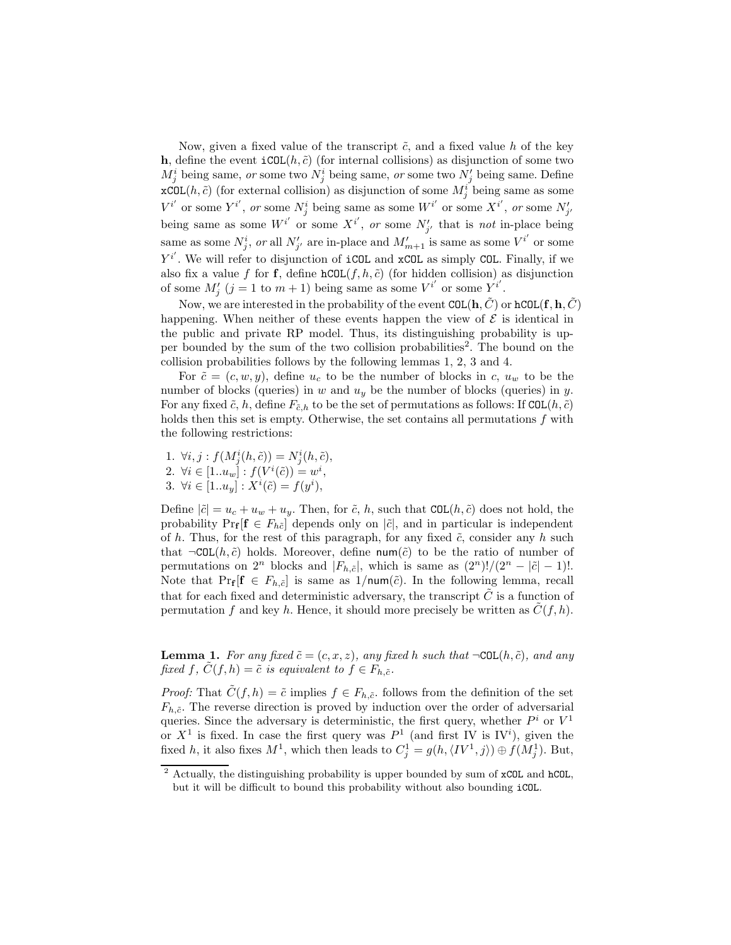Now, given a fixed value of the transcript  $\tilde{c}$ , and a fixed value h of the key h, define the event  $iCOL(h, \tilde{c})$  (for internal collisions) as disjunction of some two  $M_j^i$  being same, *or* some two  $N_j^i$  being same, *or* some two  $N_j'$  being same. Define  $xCOL(h, \tilde{c})$  (for external collision) as disjunction of some  $M_j^i$  being same as some  $V^{i'}$  or some  $Y^{i'}$ , or some  $N_j^i$  being same as some  $W^{i'}$  or some  $X^{i'}$ , or some  $N'_{j'}$ being same as some  $W^{i'}$  or some  $X^{i'}$ , or some  $N'_{j'}$  that is not in-place being same as some  $N_j^i$ , or all  $N'_{j'}$  are in-place and  $M'_{m+1}$  is same as some  $V^{i'}$  or some  $Y^{i'}$ . We will refer to disjunction of iCOL and xCOL as simply COL. Finally, if we also fix a value f for f, define  $hCOL(f, h, \tilde{c})$  (for hidden collision) as disjunction of some  $M'_{j}$  ( $j = 1$  to  $m + 1$ ) being same as some  $V^{i'}$  or some  $Y^{i'}$ .

Now, we are interested in the probability of the event  $COL(h, \tilde{C})$  or  $hCOL(f, h, \tilde{C})$ happening. When neither of these events happen the view of  $\mathcal E$  is identical in the public and private RP model. Thus, its distinguishing probability is upper bounded by the sum of the two collision probabilities<sup>2</sup>. The bound on the collision probabilities follows by the following lemmas 1, 2, 3 and 4.

For  $\tilde{c} = (c, w, y)$ , define  $u_c$  to be the number of blocks in c,  $u_w$  to be the number of blocks (queries) in  $w$  and  $u_y$  be the number of blocks (queries) in  $y$ . For any fixed  $\tilde{c}$ , h, define  $F_{\tilde{c},h}$  to be the set of permutations as follows: If COL $(h, \tilde{c})$ holds then this set is empty. Otherwise, the set contains all permutations  $f$  with the following restrictions:

- 1.  $\forall i, j : f(M^i_j(h, \tilde{c})) = N^i_j(h, \tilde{c}),$
- 2.  $\forall i \in [1..u_w] : f(V^i(\tilde{c})) = w^i,$
- 3.  $\forall i \in [1..u_y] : X^i(\tilde{c}) = f(y^i),$

Define  $|\tilde{c}| = u_c + u_w + u_y$ . Then, for  $\tilde{c}$ , h, such that  $COL(h, \tilde{c})$  does not hold, the probability  $Pr_{\mathbf{f}}[\mathbf{f} \in F_{h\tilde{c}}]$  depends only on  $|\tilde{c}|$ , and in particular is independent of h. Thus, for the rest of this paragraph, for any fixed  $\tilde{c}$ , consider any h such that  $\neg\text{COL}(h, \tilde{c})$  holds. Moreover, define num( $\tilde{c}$ ) to be the ratio of number of permutations on  $2^n$  blocks and  $|F_{h,\tilde{c}}|$ , which is same as  $(2^n)!/(2^n-|\tilde{c}|-1)!$ . Note that  $Pr_f[f \in F_{h,\tilde{c}}]$  is same as  $1/num(\tilde{c})$ . In the following lemma, recall that for each fixed and deterministic adversary, the transcript  $\tilde{C}$  is a function of permutation f and key h. Hence, it should more precisely be written as  $\tilde{C}(f, h)$ .

**Lemma 1.** For any fixed  $\tilde{c} = (c, x, z)$ , any fixed h such that  $\neg CDL(h, \tilde{c})$ , and any fixed f,  $\tilde{C}(f, h) = \tilde{c}$  is equivalent to  $f \in F_{h,\tilde{c}}$ .

*Proof:* That  $\tilde{C}(f, h) = \tilde{c}$  implies  $f \in F_{h, \tilde{c}}$ . follows from the definition of the set  $F_{h,\tilde{c}}$ . The reverse direction is proved by induction over the order of adversarial queries. Since the adversary is deterministic, the first query, whether  $P<sup>i</sup>$  or  $V<sup>1</sup>$ or  $X^1$  is fixed. In case the first query was  $P^1$  (and first IV is IV<sup>i</sup>), given the fixed h, it also fixes  $M^1$ , which then leads to  $C_j^1 = g(h, \langle IV^1, j \rangle) \oplus f(M_j^1)$ . But,

<sup>&</sup>lt;sup>2</sup> Actually, the distinguishing probability is upper bounded by sum of **xCOL** and **hCOL**, but it will be difficult to bound this probability without also bounding iCOL.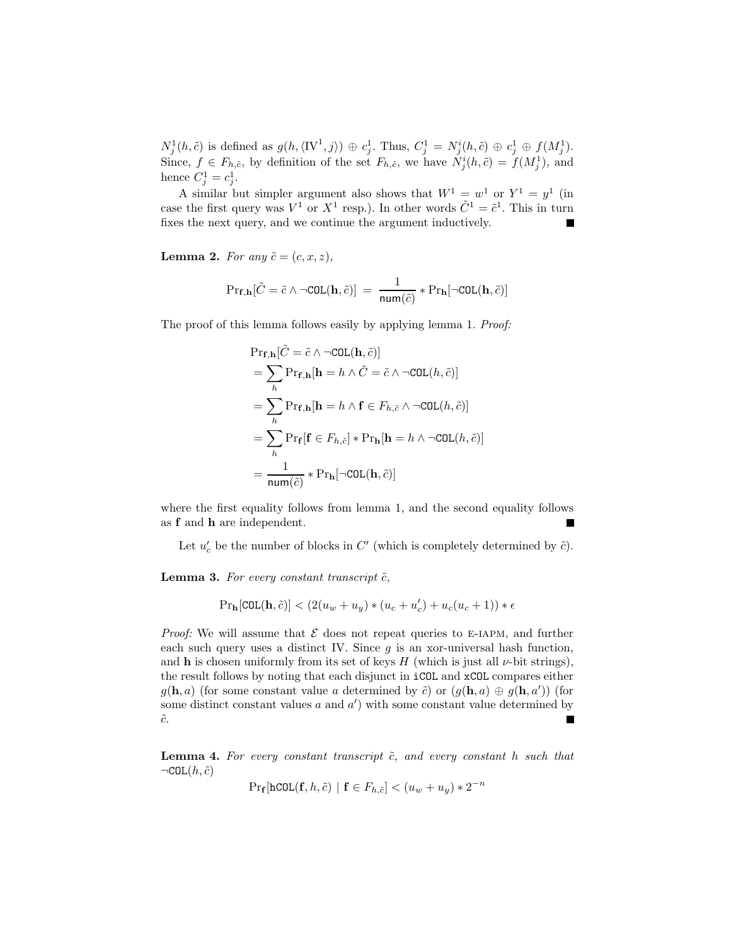$N_j^1(h, \tilde{c})$  is defined as  $g(h, \langle \text{IV}^1, j \rangle) \oplus c_j^1$ . Thus,  $C_j^1 = N_j^i(h, \tilde{c}) \oplus c_j^1 \oplus f(M_j^1)$ . Since,  $f \in F_{h,\tilde{c}}$ , by definition of the set  $F_{h,\tilde{c}}$ , we have  $N_j^i(h,\tilde{c}) = f(M_j^1)$ , and hence  $C_j^1 = c_j^1$ .

A similar but simpler argument also shows that  $W^1 = w^1$  or  $Y^1 = y^1$  (in case the first query was  $V^1$  or  $X^1$  resp.). In other words  $\tilde{C}^1 = \tilde{c}^1$ . This in turn fixes the next query, and we continue the argument inductively.

**Lemma 2.** For any  $\tilde{c} = (c, x, z)$ ,

$$
\Pr_{\mathbf{f}, \mathbf{h}}[\tilde{C} = \tilde{c} \land \neg \text{COL}(\mathbf{h}, \tilde{c})] = \frac{1}{\text{num}(\tilde{c})} * \Pr_{\mathbf{h}}[\neg \text{COL}(\mathbf{h}, \tilde{c})]
$$

The proof of this lemma follows easily by applying lemma 1. *Proof:* 

$$
\Pr_{\mathbf{f},\mathbf{h}}[\tilde{C} = \tilde{c} \land \neg \text{COL}(\mathbf{h}, \tilde{c})]
$$
  
\n
$$
= \sum_{h} \Pr_{\mathbf{f},\mathbf{h}}[\mathbf{h} = h \land \tilde{C} = \tilde{c} \land \neg \text{COL}(h, \tilde{c})]
$$
  
\n
$$
= \sum_{h} \Pr_{\mathbf{f},\mathbf{h}}[\mathbf{h} = h \land \mathbf{f} \in F_{h,\tilde{c}} \land \neg \text{COL}(h, \tilde{c})]
$$
  
\n
$$
= \sum_{h} \Pr_{\mathbf{f}}[\mathbf{f} \in F_{h,\tilde{c}}] * \Pr_{\mathbf{h}}[\mathbf{h} = h \land \neg \text{COL}(h, \tilde{c})]
$$
  
\n
$$
= \frac{1}{\text{num}(\tilde{c})} * \Pr_{\mathbf{h}}[\neg \text{COL}(\mathbf{h}, \tilde{c})]
$$

where the first equality follows from lemma 1, and the second equality follows as f and h are independent.

Let  $u'_c$  be the number of blocks in  $C'$  (which is completely determined by  $\tilde{c}$ ).

**Lemma 3.** For every constant transcript  $\tilde{c}$ ,

$$
\Pr_{\mathbf{h}}[\texttt{COL}(\mathbf{h}, \tilde{c})] < (2(u_w + u_y) * (u_c + u'_c) + u_c(u_c + 1)) * \epsilon
$$

*Proof:* We will assume that  $\mathcal E$  does not repeat queries to E-IAPM, and further each such query uses a distinct IV. Since  $g$  is an xor-universal hash function, and h is chosen uniformly from its set of keys  $H$  (which is just all  $\nu$ -bit strings), the result follows by noting that each disjunct in iCOL and xCOL compares either  $g(\mathbf{h},a)$  (for some constant value a determined by  $\tilde{c}$ ) or  $(g(\mathbf{h},a) \oplus g(\mathbf{h},a'))$  (for some distinct constant values  $a$  and  $a'$ ) with some constant value determined by  $\tilde{c}$ .

**Lemma 4.** For every constant transcript  $\tilde{c}$ , and every constant h such that  $\neg \texttt{COL}(h, \tilde{c})$ 

 $\Pr_{\mathbf{f}}[\texttt{hCOL}(\mathbf{f}, h, \tilde{c}) \mid \mathbf{f} \in F_{h, \tilde{c}}] < (u_w + u_y) * 2^{-n}$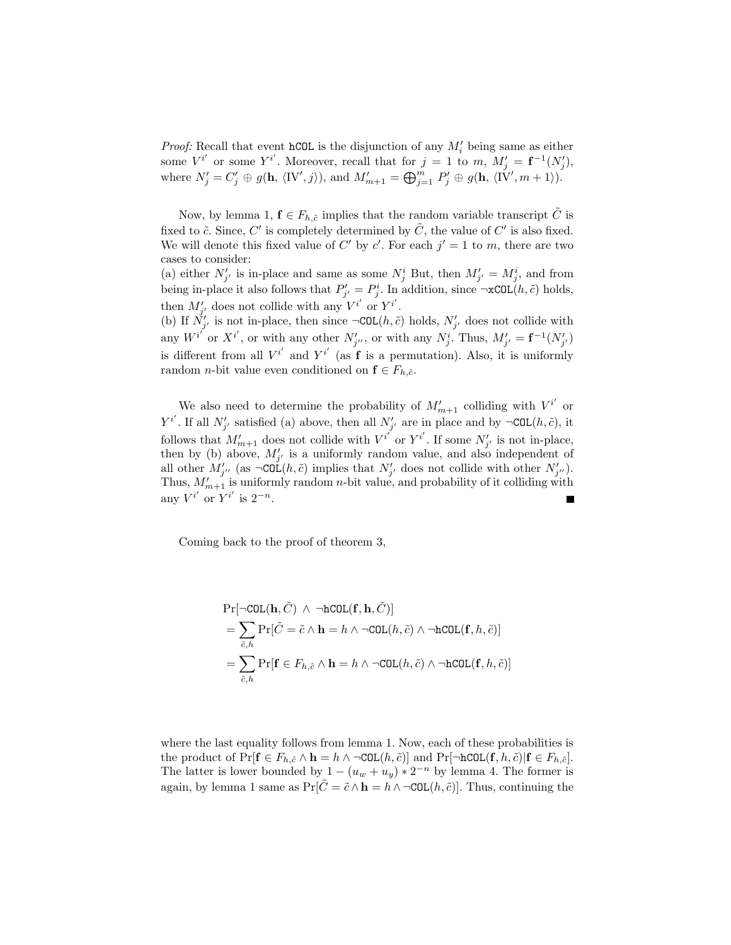*Proof:* Recall that event hCOL is the disjunction of any  $M'_{i}$  being same as either some  $V^{i'}$  or some  $Y^{i'}$ . Moreover, recall that for  $j = 1$  to  $m$ ,  $M'_{j} = \mathbf{f}^{-1}(N'_{j})$ , where  $N'_j = C'_j \oplus g(\mathbf{h}, \langle \text{IV}', j \rangle)$ , and  $M'_{m+1} = \bigoplus_{j=1}^m P'_j \oplus g(\mathbf{h}, \langle \text{IV}', m+1 \rangle)$ .

Now, by lemma 1,  $f \in F_{h,\tilde{c}}$  implies that the random variable transcript  $\tilde{C}$  is fixed to  $\tilde{c}$ . Since,  $C'$  is completely determined by  $\tilde{C}$ , the value of  $C'$  is also fixed. We will denote this fixed value of C' by c'. For each  $j' = 1$  to m, there are two cases to consider:

(a) either  $N'_{j'}$  is in-place and same as some  $N_j^i$  But, then  $M'_{j'} = M_j^i$ , and from being in-place it also follows that  $P'_{j'} = P^i_j$ . In addition, since  $\neg \mathbf{xCOL}(h, \tilde{c})$  holds, then  $M'_{j'}$  does not collide with any  $V^{i'}$  or  $Y^{i'}$ . (b) If  $N'_{j'}$  is not in-place, then since  $\neg\texttt{COL}(h,\tilde{c})$  holds,  $N'_{j'}$  does not collide with

any  $W^{i'}$  or  $X^{i'}$ , or with any other  $N'_{j''}$ , or with any  $N^i_j$ . Thus,  $M'_{j'} = \mathbf{f}^{-1}(N'_{j'})$ is different from all  $V^{i'}$  and  $Y^{i'}$  (as  $\mathbf f$  is a permutation). Also, it is uniformly random *n*-bit value even conditioned on  $f \in F_{h,\tilde{c}}$ .

We also need to determine the probability of  $M'_{m+1}$  colliding with  $V^{i'}$  or  $Y^{i'}$ . If all  $N'_{j'}$  satisfied (a) above, then all  $N'_{j'}$  are in place and by  $\neg$ COL $(h, \tilde{c})$ , it follows that  $M'_{m+1}$  does not collide with  $V^{i^{'} }$  or  $Y^{i'}$ . If some  $N'_{j'}$  is not in-place, then by (b) above,  $M'_{j'}$  is a uniformly random value, and also independent of all other  $M'_{j''}$  (as  $\neg \text{COL}(h, \tilde{c})$  implies that  $N'_{j'}$  does not collide with other  $N'_{j''}$ ). Thus,  $M'_{m+1}$  is uniformly random *n*-bit value, and probability of it colliding with any  $V^{i'}$  or  $Y^{i'}$  is  $2^{-n}$ .

Coming back to the proof of theorem 3,

$$
Pr[\neg\text{COL}(\mathbf{h}, \tilde{C}) \land \neg\text{hCOL}(\mathbf{f}, \mathbf{h}, \tilde{C})]
$$
  
= 
$$
\sum_{\tilde{c}, h} Pr[\tilde{C} = \tilde{c} \land \mathbf{h} = h \land \neg\text{COL}(h, \tilde{c}) \land \neg\text{hCOL}(\mathbf{f}, h, \tilde{c})]
$$
  
= 
$$
\sum_{\tilde{c}, h} Pr[\mathbf{f} \in F_{h, \tilde{c}} \land \mathbf{h} = h \land \neg\text{COL}(h, \tilde{c}) \land \neg\text{hCOL}(\mathbf{f}, h, \tilde{c})]
$$

where the last equality follows from lemma 1. Now, each of these probabilities is the product of  $Pr[\mathbf{f} \in F_{h,\tilde{c}} \wedge \mathbf{h} = h \wedge \neg \text{COL}(h,\tilde{c})]$  and  $Pr[\neg \text{hCOL}(\mathbf{f},h,\tilde{c}) | \mathbf{f} \in F_{h,\tilde{c}}].$ The latter is lower bounded by  $1 - (u_w + u_y) * 2^{-n}$  by lemma 4. The former is again, by lemma 1 same as  $Pr[\tilde{C} = \tilde{c} \wedge \mathbf{h} = h \wedge \neg CDL(h, \tilde{c})]$ . Thus, continuing the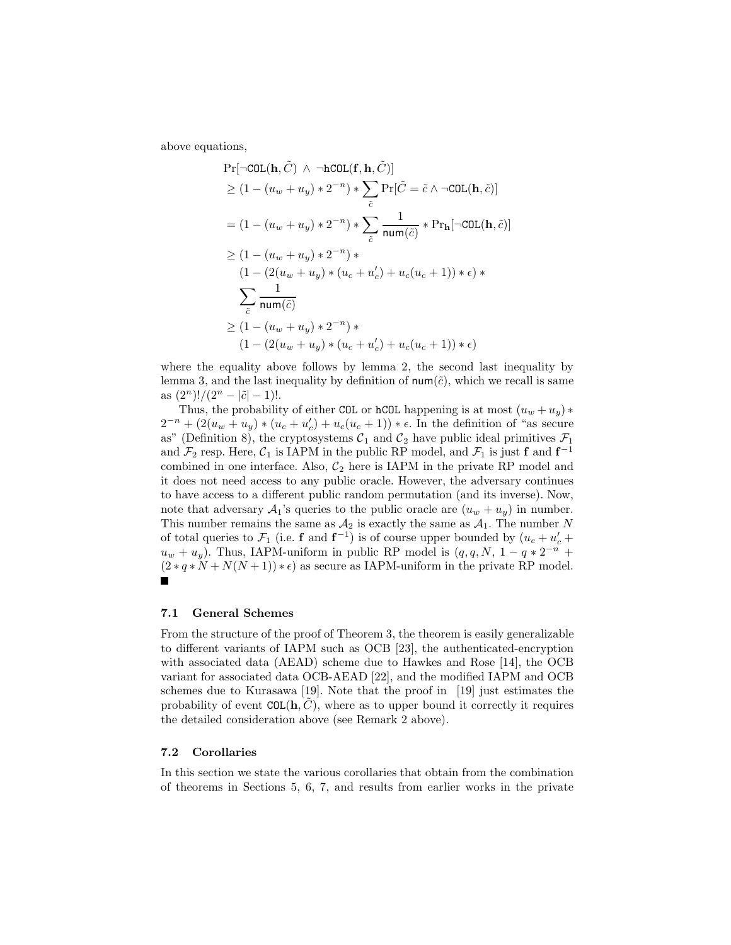above equations,

$$
\Pr[\neg\text{COL}(\mathbf{h}, \tilde{C}) \land \neg\text{hCOL}(\mathbf{f}, \mathbf{h}, \tilde{C})]
$$
\n
$$
\geq (1 - (u_w + u_y) * 2^{-n}) * \sum_{\tilde{c}} \Pr[\tilde{C} = \tilde{c} \land \neg\text{COL}(\mathbf{h}, \tilde{c})]
$$
\n
$$
= (1 - (u_w + u_y) * 2^{-n}) * \sum_{\tilde{c}} \frac{1}{\text{num}(\tilde{c})} * \Pr[\neg\text{COL}(\mathbf{h}, \tilde{c})]
$$
\n
$$
\geq (1 - (u_w + u_y) * 2^{-n}) * \frac{1}{\tilde{c}} \frac{1}{\text{num}(\tilde{c})} * \Pr[\neg\text{COL}(\mathbf{h}, \tilde{c})]
$$
\n
$$
\geq (1 - (2(u_w + u_y) * (u_c + u_c') + u_c(u_c + 1)) * \epsilon) * \sum_{\tilde{c}} \frac{1}{\text{num}(\tilde{c})}
$$
\n
$$
\geq (1 - (u_w + u_y) * 2^{-n}) * \frac{1}{\tilde{c}} \frac{1}{\tilde{c}} \frac{1}{\tilde{c}} \frac{1}{\tilde{c}} \frac{1}{\tilde{c}} \frac{1}{\tilde{c}} \frac{1}{\tilde{c}} \frac{1}{\tilde{c}} \frac{1}{\tilde{c}} \frac{1}{\tilde{c}} \frac{1}{\tilde{c}} \frac{1}{\tilde{c}} \frac{1}{\tilde{c}} \frac{1}{\tilde{c}} \frac{1}{\tilde{c}} \frac{1}{\tilde{c}} \frac{1}{\tilde{c}} \frac{1}{\tilde{c}} \frac{1}{\tilde{c}} \frac{1}{\tilde{c}} \frac{1}{\tilde{c}} \frac{1}{\tilde{c}} \frac{1}{\tilde{c}} \frac{1}{\tilde{c}} \frac{1}{\tilde{c}} \frac{1}{\tilde{c}} \frac{1}{\tilde{c}} \frac{1}{\tilde{c}} \frac{1}{\tilde{c}} \frac{1}{\tilde{c}} \frac{1}{\tilde{c}} \frac{1}{\tilde{c}} \frac{1}{\tilde{c}} \frac{1}{\tilde{c}} \frac{1}{\tilde{
$$

where the equality above follows by lemma 2, the second last inequality by lemma 3, and the last inequality by definition of  $\text{num}(\tilde{c})$ , which we recall is same as  $(2^n)!/(2^n - |\tilde{c}| - 1)!$ .

Thus, the probability of either COL or hCOL happening is at most  $(u_w + u_y) *$  $2^{-n} + (2(u_w + u_y) * (u_c + u_c') + u_c(u_c + 1)) * \epsilon$ . In the definition of "as secure as" (Definition 8), the cryptosystems  $C_1$  and  $C_2$  have public ideal primitives  $\mathcal{F}_1$ and  $\mathcal{F}_2$  resp. Here,  $\mathcal{C}_1$  is IAPM in the public RP model, and  $\mathcal{F}_1$  is just f and  $f^{-1}$ combined in one interface. Also,  $C_2$  here is IAPM in the private RP model and it does not need access to any public oracle. However, the adversary continues to have access to a different public random permutation (and its inverse). Now, note that adversary  $A_1$ 's queries to the public oracle are  $(u_w + u_y)$  in number. This number remains the same as  $A_2$  is exactly the same as  $A_1$ . The number N of total queries to  $\mathcal{F}_1$  (i.e. f and  $f^{-1}$ ) is of course upper bounded by  $(u_c + u'_c +$  $u_w + u_y$ ). Thus, IAPM-uniform in public RP model is  $(q, q, N, 1 - q * 2^{-n} +$  $(2 * q * N + N(N + 1)) * \epsilon$  as secure as IAPM-uniform in the private RP model. П

#### 7.1 General Schemes

From the structure of the proof of Theorem 3, the theorem is easily generalizable to different variants of IAPM such as OCB [23], the authenticated-encryption with associated data (AEAD) scheme due to Hawkes and Rose [14], the OCB variant for associated data OCB-AEAD [22], and the modified IAPM and OCB schemes due to Kurasawa [19]. Note that the proof in [19] just estimates the probability of event  $COL(h, C)$ , where as to upper bound it correctly it requires the detailed consideration above (see Remark 2 above).

#### 7.2 Corollaries

In this section we state the various corollaries that obtain from the combination of theorems in Sections 5, 6, 7, and results from earlier works in the private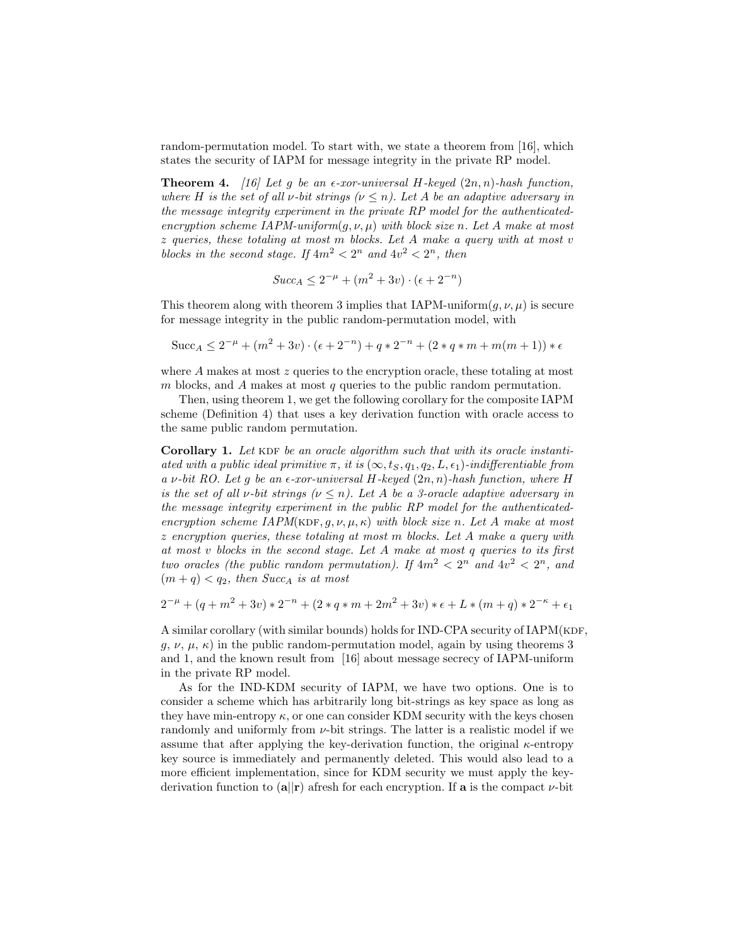random-permutation model. To start with, we state a theorem from [16], which states the security of IAPM for message integrity in the private RP model.

**Theorem 4.** [16] Let g be an  $\epsilon$ -xor-universal H-keyed  $(2n, n)$ -hash function, where H is the set of all v-bit strings  $(\nu \leq n)$ . Let A be an adaptive adversary in the message integrity experiment in the private RP model for the authenticatedencryption scheme IAPM-uniform $(q, \nu, \mu)$  with block size n. Let A make at most  $z$  queries, these totaling at most m blocks. Let A make a query with at most v blocks in the second stage. If  $4m^2 < 2^n$  and  $4v^2 < 2^n$ , then

$$
Succ_A \le 2^{-\mu} + (m^2 + 3v) \cdot (\epsilon + 2^{-n})
$$

This theorem along with theorem 3 implies that IAPM-uniform $(q, \nu, \mu)$  is secure for message integrity in the public random-permutation model, with

 $\text{Succ}_A \leq 2^{-\mu} + (m^2 + 3v) \cdot (\epsilon + 2^{-n}) + q * 2^{-n} + (2 * q * m + m(m + 1)) * \epsilon$ 

where  $A$  makes at most  $z$  queries to the encryption oracle, these totaling at most m blocks, and A makes at most  $q$  queries to the public random permutation.

Then, using theorem 1, we get the following corollary for the composite IAPM scheme (Definition 4) that uses a key derivation function with oracle access to the same public random permutation.

**Corollary 1.** Let  $KDF$  be an oracle algorithm such that with its oracle instantiated with a public ideal primitive  $\pi$ , it is  $(\infty, t_S, q_1, q_2, L, \epsilon_1)$ -indifferentiable from a v-bit RO. Let g be an  $\epsilon$ -xor-universal H-keyed  $(2n, n)$ -hash function, where H is the set of all v-bit strings  $(\nu \leq n)$ . Let A be a 3-oracle adaptive adversary in the message integrity experiment in the public RP model for the authenticatedencryption scheme IAPM(KDF, g,  $\nu, \mu, \kappa$ ) with block size n. Let A make at most z encryption queries, these totaling at most m blocks. Let A make a query with at most v blocks in the second stage. Let A make at most q queries to its first two oracles (the public random permutation). If  $4m^2 < 2^n$  and  $4v^2 < 2^n$ , and  $(m + q) < q_2$ , then Succ<sub>A</sub> is at most

$$
2^{-\mu} + (q + m^2 + 3v) * 2^{-n} + (2*q * m + 2m^2 + 3v) * \epsilon + L * (m + q) * 2^{-\kappa} + \epsilon_1
$$

A similar corollary (with similar bounds) holds for IND-CPA security of  $IAPM(kDF,$  $g, \nu, \mu, \kappa$ ) in the public random-permutation model, again by using theorems 3 and 1, and the known result from [16] about message secrecy of IAPM-uniform in the private RP model.

As for the IND-KDM security of IAPM, we have two options. One is to consider a scheme which has arbitrarily long bit-strings as key space as long as they have min-entropy  $\kappa$ , or one can consider KDM security with the keys chosen randomly and uniformly from  $\nu$ -bit strings. The latter is a realistic model if we assume that after applying the key-derivation function, the original  $\kappa$ -entropy key source is immediately and permanently deleted. This would also lead to a more efficient implementation, since for KDM security we must apply the keyderivation function to  $(a||r)$  afresh for each encryption. If a is the compact  $\nu$ -bit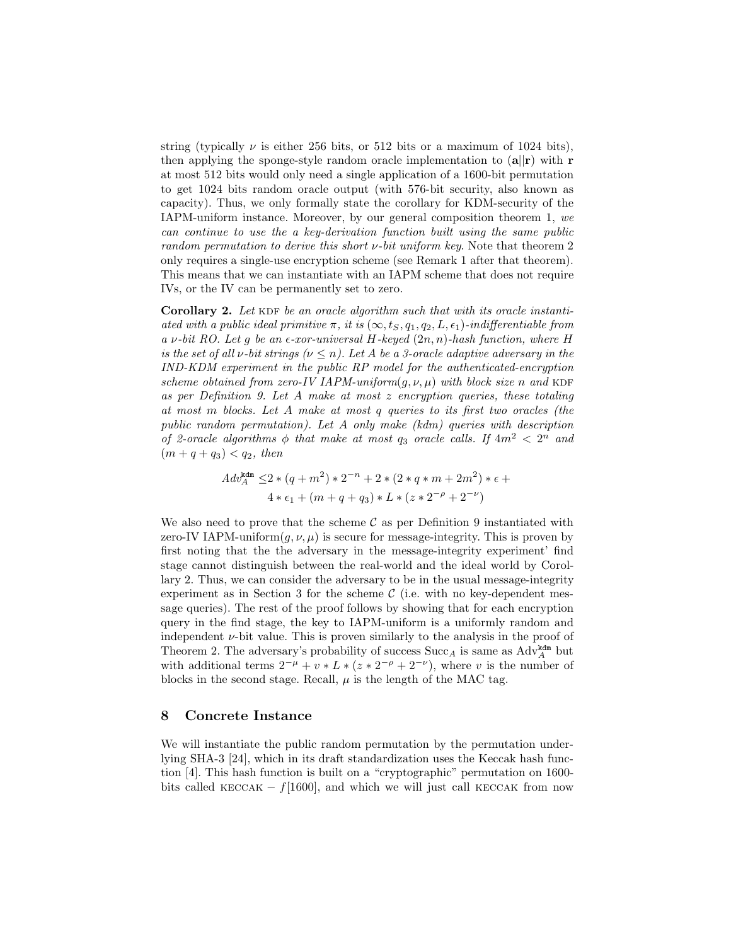string (typically  $\nu$  is either 256 bits, or 512 bits or a maximum of 1024 bits), then applying the sponge-style random oracle implementation to  $(a||r)$  with r at most 512 bits would only need a single application of a 1600-bit permutation to get 1024 bits random oracle output (with 576-bit security, also known as capacity). Thus, we only formally state the corollary for KDM-security of the IAPM-uniform instance. Moreover, by our general composition theorem 1, we can continue to use the a key-derivation function built using the same public random permutation to derive this short  $\nu$ -bit uniform key. Note that theorem 2 only requires a single-use encryption scheme (see Remark 1 after that theorem). This means that we can instantiate with an IAPM scheme that does not require IVs, or the IV can be permanently set to zero.

**Corollary 2.** Let  $KDF$  be an oracle algorithm such that with its oracle instantiated with a public ideal primitive  $\pi$ , it is  $(\infty, t_S, q_1, q_2, L, \epsilon_1)$ -indifferentiable from a v-bit RO. Let g be an  $\epsilon$ -xor-universal H-keyed  $(2n, n)$ -hash function, where H is the set of all v-bit strings ( $\nu \leq n$ ). Let A be a 3-oracle adaptive adversary in the IND-KDM experiment in the public RP model for the authenticated-encryption scheme obtained from zero-IV IAPM-uniform $(g, \nu, \mu)$  with block size n and KDF as per Definition 9. Let A make at most z encryption queries, these totaling at most m blocks. Let A make at most q queries to its first two oracles (the public random permutation). Let A only make (kdm) queries with description of 2-oracle algorithms  $\phi$  that make at most  $q_3$  oracle calls. If  $4m^2 < 2^n$  and  $(m + q + q_3) < q_2$ , then

$$
Adv_A^{\text{kdm}} \leq 2 * (q + m^2) * 2^{-n} + 2 * (2 * q * m + 2m^2) * \epsilon + 4 * \epsilon_1 + (m + q + q_3) * L * (z * 2^{-\rho} + 2^{-\nu})
$$

We also need to prove that the scheme  $\mathcal C$  as per Definition 9 instantiated with zero-IV IAPM-uniform $(g, \nu, \mu)$  is secure for message-integrity. This is proven by first noting that the the adversary in the message-integrity experiment' find stage cannot distinguish between the real-world and the ideal world by Corollary 2. Thus, we can consider the adversary to be in the usual message-integrity experiment as in Section 3 for the scheme  $\mathcal C$  (i.e. with no key-dependent message queries). The rest of the proof follows by showing that for each encryption query in the find stage, the key to IAPM-uniform is a uniformly random and independent  $\nu$ -bit value. This is proven similarly to the analysis in the proof of Theorem 2. The adversary's probability of success  $\text{Succ}_A$  is same as  $\text{Adv}_{A}^{\text{kdm}}$  but with additional terms  $2^{-\mu} + v * L * (z * 2^{-\rho} + 2^{-\nu})$ , where v is the number of blocks in the second stage. Recall,  $\mu$  is the length of the MAC tag.

## 8 Concrete Instance

We will instantiate the public random permutation by the permutation underlying SHA-3 [24], which in its draft standardization uses the Keccak hash function [4]. This hash function is built on a "cryptographic" permutation on 1600 bits called KECCAK –  $f[1600]$ , and which we will just call KECCAK from now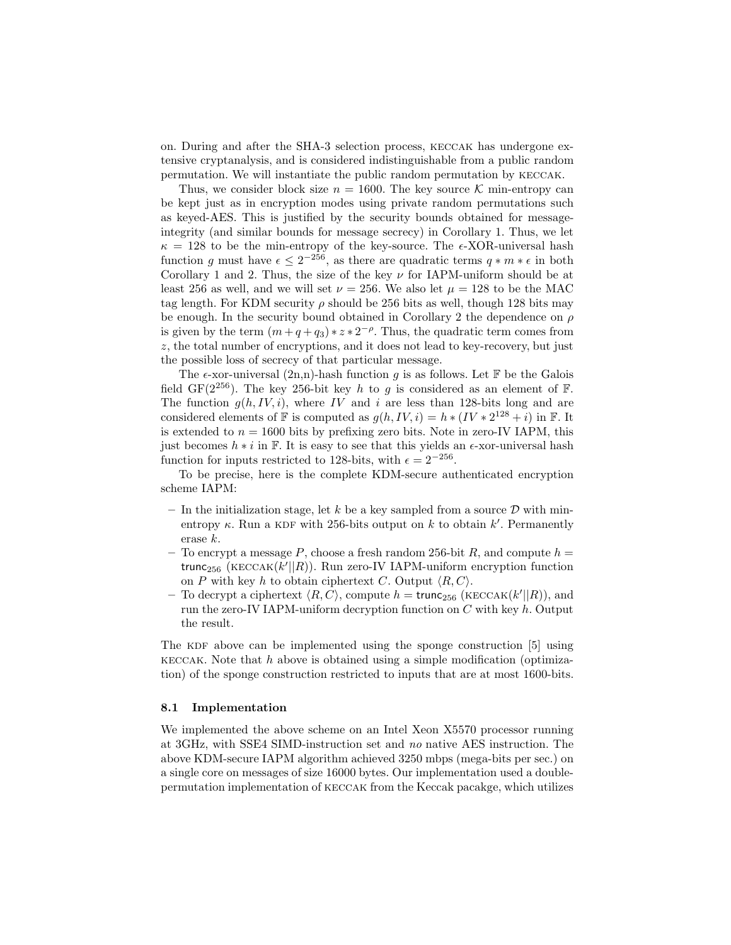on. During and after the SHA-3 selection process, keccak has undergone extensive cryptanalysis, and is considered indistinguishable from a public random permutation. We will instantiate the public random permutation by keccak.

Thus, we consider block size  $n = 1600$ . The key source K min-entropy can be kept just as in encryption modes using private random permutations such as keyed-AES. This is justified by the security bounds obtained for messageintegrity (and similar bounds for message secrecy) in Corollary 1. Thus, we let  $\kappa = 128$  to be the min-entropy of the key-source. The  $\epsilon$ -XOR-universal hash function g must have  $\epsilon \leq 2^{-256}$ , as there are quadratic terms  $q * m * \epsilon$  in both Corollary 1 and 2. Thus, the size of the key  $\nu$  for IAPM-uniform should be at least 256 as well, and we will set  $\nu = 256$ . We also let  $\mu = 128$  to be the MAC tag length. For KDM security  $\rho$  should be 256 bits as well, though 128 bits may be enough. In the security bound obtained in Corollary 2 the dependence on  $\rho$ is given by the term  $(m+q+q_3)*z*2^{-\rho}$ . Thus, the quadratic term comes from z, the total number of encryptions, and it does not lead to key-recovery, but just the possible loss of secrecy of that particular message.

The  $\epsilon$ -xor-universal  $(2n,n)$ -hash function g is as follows. Let F be the Galois field GF( $2^{256}$ ). The key 256-bit key h to g is considered as an element of F. The function  $g(h, IV, i)$ , where IV and i are less than 128-bits long and are considered elements of  $\mathbb F$  is computed as  $g(h, IV, i) = h * (IV * 2^{128} + i)$  in  $\mathbb F$ . It is extended to  $n = 1600$  bits by prefixing zero bits. Note in zero-IV IAPM, this just becomes  $h * i$  in F. It is easy to see that this yields an  $\epsilon$ -xor-universal hash function for inputs restricted to 128-bits, with  $\epsilon = 2^{-256}$ .

To be precise, here is the complete KDM-secure authenticated encryption scheme IAPM:

- In the initialization stage, let k be a key sampled from a source  $\mathcal D$  with minentropy  $\kappa$ . Run a KDF with 256-bits output on k to obtain  $k'$ . Permanently erase k.
- To encrypt a message P, choose a fresh random 256-bit R, and compute  $h =$ trunc<sub>256</sub> (KECCAK $(k'||R)$ ). Run zero-IV IAPM-uniform encryption function on P with key h to obtain ciphertext C. Output  $\langle R, C \rangle$ .
- To decrypt a ciphertext  $\langle R, C \rangle$ , compute  $h = \text{trunc}_{256}$  (KECCAK $(k'||R)$ ), and run the zero-IV IAPM-uniform decryption function on  $C$  with key  $h$ . Output the result.

The KDF above can be implemented using the sponge construction  $[5]$  using KECCAK. Note that  $h$  above is obtained using a simple modification (optimization) of the sponge construction restricted to inputs that are at most 1600-bits.

#### 8.1 Implementation

We implemented the above scheme on an Intel Xeon X5570 processor running at 3GHz, with SSE4 SIMD-instruction set and no native AES instruction. The above KDM-secure IAPM algorithm achieved 3250 mbps (mega-bits per sec.) on a single core on messages of size 16000 bytes. Our implementation used a doublepermutation implementation of keccak from the Keccak pacakge, which utilizes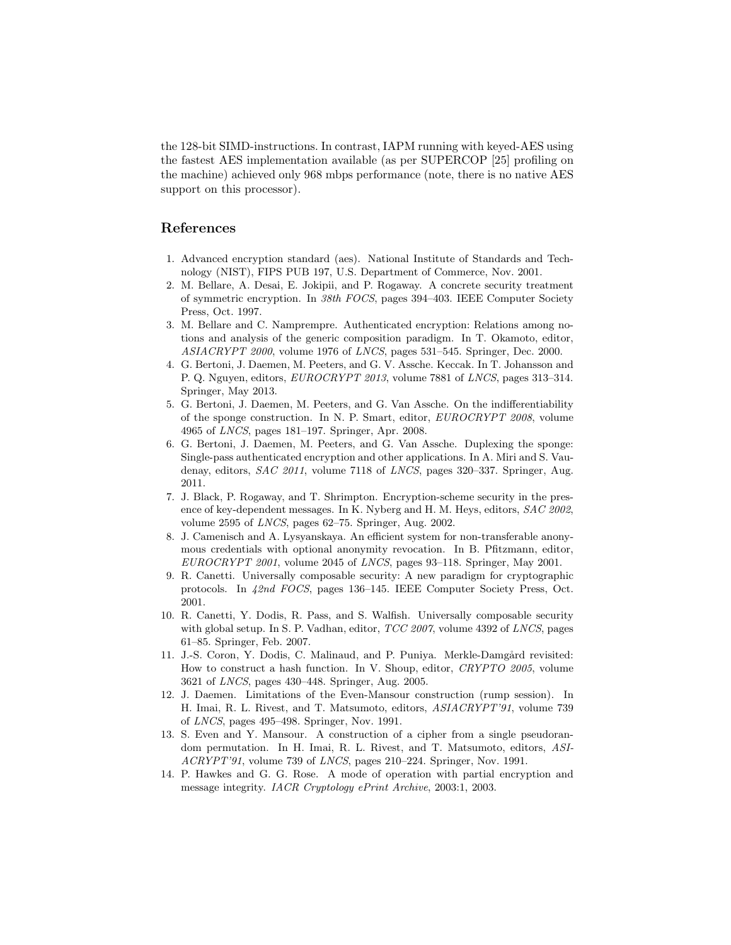the 128-bit SIMD-instructions. In contrast, IAPM running with keyed-AES using the fastest AES implementation available (as per SUPERCOP [25] profiling on the machine) achieved only 968 mbps performance (note, there is no native AES support on this processor).

## References

- 1. Advanced encryption standard (aes). National Institute of Standards and Technology (NIST), FIPS PUB 197, U.S. Department of Commerce, Nov. 2001.
- 2. M. Bellare, A. Desai, E. Jokipii, and P. Rogaway. A concrete security treatment of symmetric encryption. In 38th FOCS, pages 394–403. IEEE Computer Society Press, Oct. 1997.
- 3. M. Bellare and C. Namprempre. Authenticated encryption: Relations among notions and analysis of the generic composition paradigm. In T. Okamoto, editor, ASIACRYPT 2000, volume 1976 of LNCS, pages 531–545. Springer, Dec. 2000.
- 4. G. Bertoni, J. Daemen, M. Peeters, and G. V. Assche. Keccak. In T. Johansson and P. Q. Nguyen, editors, EUROCRYPT 2013, volume 7881 of LNCS, pages 313–314. Springer, May 2013.
- 5. G. Bertoni, J. Daemen, M. Peeters, and G. Van Assche. On the indifferentiability of the sponge construction. In N. P. Smart, editor, EUROCRYPT 2008, volume 4965 of LNCS, pages 181–197. Springer, Apr. 2008.
- 6. G. Bertoni, J. Daemen, M. Peeters, and G. Van Assche. Duplexing the sponge: Single-pass authenticated encryption and other applications. In A. Miri and S. Vaudenay, editors, SAC 2011, volume 7118 of LNCS, pages 320–337. Springer, Aug. 2011.
- 7. J. Black, P. Rogaway, and T. Shrimpton. Encryption-scheme security in the presence of key-dependent messages. In K. Nyberg and H. M. Heys, editors, SAC 2002, volume 2595 of LNCS, pages 62–75. Springer, Aug. 2002.
- 8. J. Camenisch and A. Lysyanskaya. An efficient system for non-transferable anonymous credentials with optional anonymity revocation. In B. Pfitzmann, editor, EUROCRYPT 2001, volume 2045 of LNCS, pages 93–118. Springer, May 2001.
- 9. R. Canetti. Universally composable security: A new paradigm for cryptographic protocols. In 42nd FOCS, pages 136–145. IEEE Computer Society Press, Oct. 2001.
- 10. R. Canetti, Y. Dodis, R. Pass, and S. Walfish. Universally composable security with global setup. In S. P. Vadhan, editor, *TCC 2007*, volume 4392 of *LNCS*, pages 61–85. Springer, Feb. 2007.
- 11. J.-S. Coron, Y. Dodis, C. Malinaud, and P. Puniya. Merkle-Damgård revisited: How to construct a hash function. In V. Shoup, editor, CRYPTO 2005, volume 3621 of LNCS, pages 430–448. Springer, Aug. 2005.
- 12. J. Daemen. Limitations of the Even-Mansour construction (rump session). In H. Imai, R. L. Rivest, and T. Matsumoto, editors, ASIACRYPT'91, volume 739 of LNCS, pages 495–498. Springer, Nov. 1991.
- 13. S. Even and Y. Mansour. A construction of a cipher from a single pseudorandom permutation. In H. Imai, R. L. Rivest, and T. Matsumoto, editors, ASI-ACRYPT'91, volume 739 of LNCS, pages 210–224. Springer, Nov. 1991.
- 14. P. Hawkes and G. G. Rose. A mode of operation with partial encryption and message integrity. IACR Cryptology ePrint Archive, 2003:1, 2003.